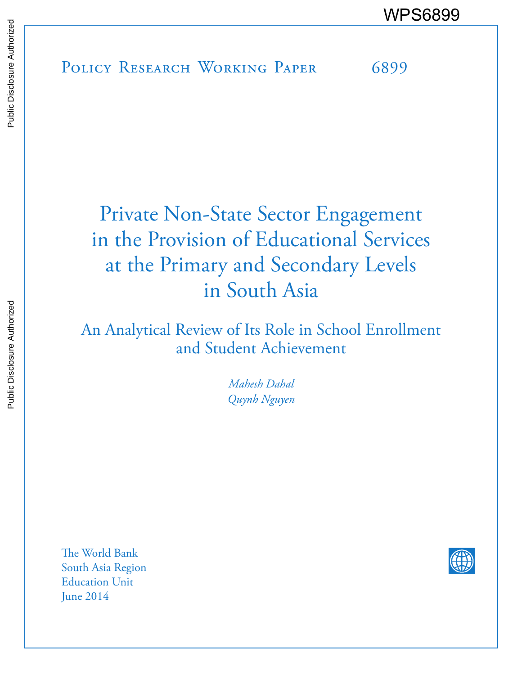# Private Non-State Sector Engagement in the Provision of Educational Services at the Primary and Secondary Levels in South Asia

An Analytical Review of Its Role in School Enrollment and Student Achievement

> *Mahesh Dahal Quynh Nguyen*

The World Bank South Asia Region Education Unit June 2014

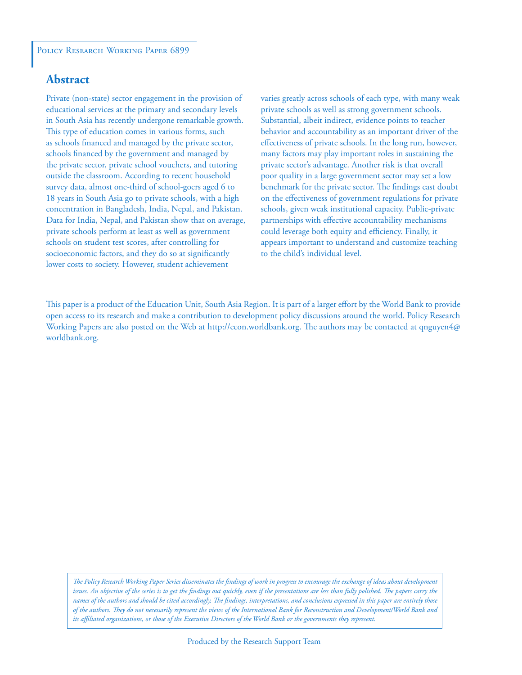#### POLICY RESEARCH WORKING PAPER 6899

# **Abstract**

Private (non-state) sector engagement in the provision of educational services at the primary and secondary levels in South Asia has recently undergone remarkable growth. This type of education comes in various forms, such as schools financed and managed by the private sector, schools financed by the government and managed by the private sector, private school vouchers, and tutoring outside the classroom. According to recent household survey data, almost one-third of school-goers aged 6 to 18 years in South Asia go to private schools, with a high concentration in Bangladesh, India, Nepal, and Pakistan. Data for India, Nepal, and Pakistan show that on average, private schools perform at least as well as government schools on student test scores, after controlling for socioeconomic factors, and they do so at significantly lower costs to society. However, student achievement

varies greatly across schools of each type, with many weak private schools as well as strong government schools. Substantial, albeit indirect, evidence points to teacher behavior and accountability as an important driver of the effectiveness of private schools. In the long run, however, many factors may play important roles in sustaining the private sector's advantage. Another risk is that overall poor quality in a large government sector may set a low benchmark for the private sector. The findings cast doubt on the effectiveness of government regulations for private schools, given weak institutional capacity. Public-private partnerships with effective accountability mechanisms could leverage both equity and efficiency. Finally, it appears important to understand and customize teaching to the child's individual level.

*The Policy Research Working Paper Series disseminates the findings of work in progress to encourage the exchange of ideas about development*  issues. An objective of the series is to get the findings out quickly, even if the presentations are less than fully polished. The papers carry the *names of the authors and should be cited accordingly. The findings, interpretations, and conclusions expressed in this paper are entirely those of the authors. They do not necessarily represent the views of the International Bank for Reconstruction and Development/World Bank and its affiliated organizations, or those of the Executive Directors of the World Bank or the governments they represent.*

This paper is a product of the Education Unit, South Asia Region. It is part of a larger effort by the World Bank to provide open access to its research and make a contribution to development policy discussions around the world. Policy Research Working Papers are also posted on the Web at http://econ.worldbank.org. The authors may be contacted at qnguyen4@ worldbank.org.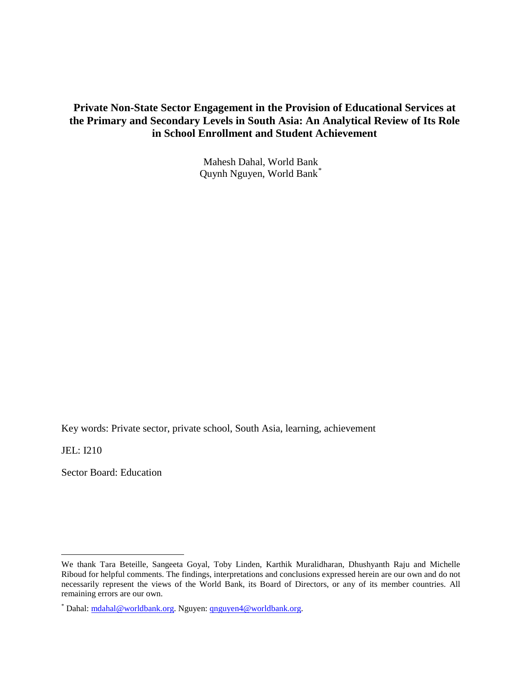# **Private Non-State Sector Engagement in the Provision of Educational Services at the Primary and Secondary Levels in South Asia: An Analytical Review of Its Role in School Enrollment and Student Achievement**

Mahesh Dahal, World Bank Quynh Nguyen, World Bank[\\*](#page-2-0)

Key words: Private sector, private school, South Asia, learning, achievement

JEL: I210

 $\overline{a}$ 

Sector Board: Education

<span id="page-2-0"></span>We thank Tara Beteille, Sangeeta Goyal, Toby Linden, Karthik Muralidharan, Dhushyanth Raju and Michelle Riboud for helpful comments. The findings, interpretations and conclusions expressed herein are our own and do not necessarily represent the views of the World Bank, its Board of Directors, or any of its member countries. All remaining errors are our own.

<sup>\*</sup> Dahal: [mdahal@worldbank.org.](mailto:mdahal@worldbank.org) Nguyen: [qnguyen4@worldbank.org.](mailto:qnguyen4@worldbank.org)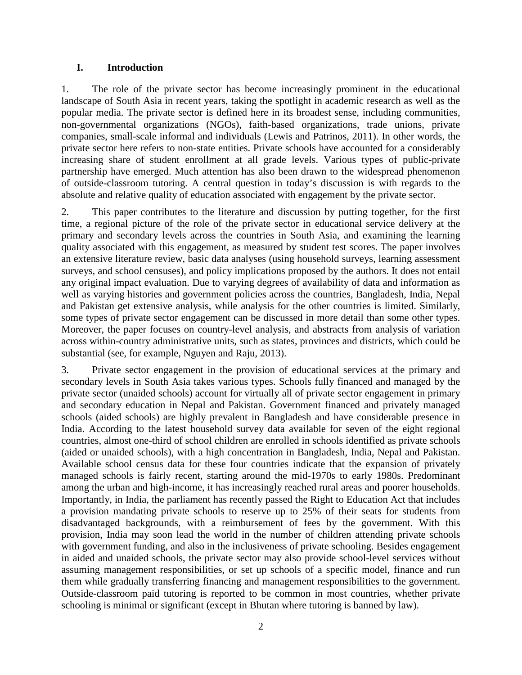## **I. Introduction**

1. The role of the private sector has become increasingly prominent in the educational landscape of South Asia in recent years, taking the spotlight in academic research as well as the popular media. The private sector is defined here in its broadest sense, including communities, non-governmental organizations (NGOs), faith-based organizations, trade unions, private companies, small-scale informal and individuals (Lewis and Patrinos, 2011). In other words, the private sector here refers to non-state entities. Private schools have accounted for a considerably increasing share of student enrollment at all grade levels. Various types of public-private partnership have emerged. Much attention has also been drawn to the widespread phenomenon of outside-classroom tutoring. A central question in today's discussion is with regards to the absolute and relative quality of education associated with engagement by the private sector.

2. This paper contributes to the literature and discussion by putting together, for the first time, a regional picture of the role of the private sector in educational service delivery at the primary and secondary levels across the countries in South Asia, and examining the learning quality associated with this engagement, as measured by student test scores. The paper involves an extensive literature review, basic data analyses (using household surveys, learning assessment surveys, and school censuses), and policy implications proposed by the authors. It does not entail any original impact evaluation. Due to varying degrees of availability of data and information as well as varying histories and government policies across the countries, Bangladesh, India, Nepal and Pakistan get extensive analysis, while analysis for the other countries is limited. Similarly, some types of private sector engagement can be discussed in more detail than some other types. Moreover, the paper focuses on country-level analysis, and abstracts from analysis of variation across within-country administrative units, such as states, provinces and districts, which could be substantial (see, for example, Nguyen and Raju, 2013).

3. Private sector engagement in the provision of educational services at the primary and secondary levels in South Asia takes various types. Schools fully financed and managed by the private sector (unaided schools) account for virtually all of private sector engagement in primary and secondary education in Nepal and Pakistan. Government financed and privately managed schools (aided schools) are highly prevalent in Bangladesh and have considerable presence in India. According to the latest household survey data available for seven of the eight regional countries, almost one-third of school children are enrolled in schools identified as private schools (aided or unaided schools), with a high concentration in Bangladesh, India, Nepal and Pakistan. Available school census data for these four countries indicate that the expansion of privately managed schools is fairly recent, starting around the mid-1970s to early 1980s. Predominant among the urban and high-income, it has increasingly reached rural areas and poorer households. Importantly, in India, the parliament has recently passed the Right to Education Act that includes a provision mandating private schools to reserve up to 25% of their seats for students from disadvantaged backgrounds, with a reimbursement of fees by the government. With this provision, India may soon lead the world in the number of children attending private schools with government funding, and also in the inclusiveness of private schooling. Besides engagement in aided and unaided schools, the private sector may also provide school-level services without assuming management responsibilities, or set up schools of a specific model, finance and run them while gradually transferring financing and management responsibilities to the government. Outside-classroom paid tutoring is reported to be common in most countries, whether private schooling is minimal or significant (except in Bhutan where tutoring is banned by law).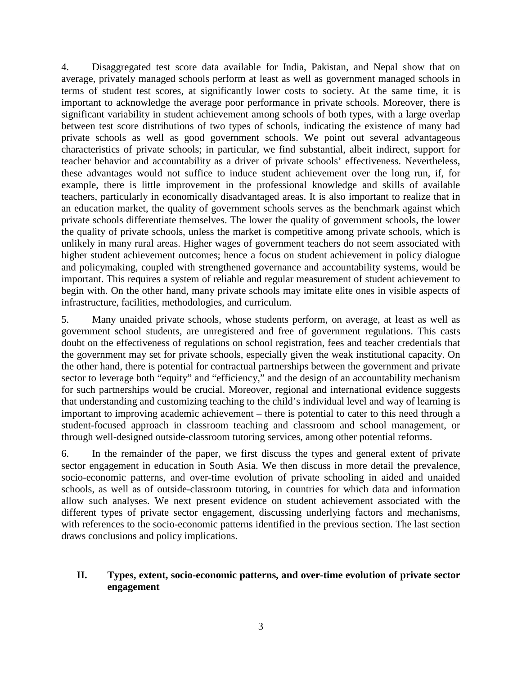4. Disaggregated test score data available for India, Pakistan, and Nepal show that on average, privately managed schools perform at least as well as government managed schools in terms of student test scores, at significantly lower costs to society. At the same time, it is important to acknowledge the average poor performance in private schools. Moreover, there is significant variability in student achievement among schools of both types, with a large overlap between test score distributions of two types of schools, indicating the existence of many bad private schools as well as good government schools. We point out several advantageous characteristics of private schools; in particular, we find substantial, albeit indirect, support for teacher behavior and accountability as a driver of private schools' effectiveness. Nevertheless, these advantages would not suffice to induce student achievement over the long run, if, for example, there is little improvement in the professional knowledge and skills of available teachers, particularly in economically disadvantaged areas. It is also important to realize that in an education market, the quality of government schools serves as the benchmark against which private schools differentiate themselves. The lower the quality of government schools, the lower the quality of private schools, unless the market is competitive among private schools, which is unlikely in many rural areas. Higher wages of government teachers do not seem associated with higher student achievement outcomes; hence a focus on student achievement in policy dialogue and policymaking, coupled with strengthened governance and accountability systems, would be important. This requires a system of reliable and regular measurement of student achievement to begin with. On the other hand, many private schools may imitate elite ones in visible aspects of infrastructure, facilities, methodologies, and curriculum.

5. Many unaided private schools, whose students perform, on average, at least as well as government school students, are unregistered and free of government regulations. This casts doubt on the effectiveness of regulations on school registration, fees and teacher credentials that the government may set for private schools, especially given the weak institutional capacity. On the other hand, there is potential for contractual partnerships between the government and private sector to leverage both "equity" and "efficiency," and the design of an accountability mechanism for such partnerships would be crucial. Moreover, regional and international evidence suggests that understanding and customizing teaching to the child's individual level and way of learning is important to improving academic achievement – there is potential to cater to this need through a student-focused approach in classroom teaching and classroom and school management, or through well-designed outside-classroom tutoring services, among other potential reforms.

6. In the remainder of the paper, we first discuss the types and general extent of private sector engagement in education in South Asia. We then discuss in more detail the prevalence, socio-economic patterns, and over-time evolution of private schooling in aided and unaided schools, as well as of outside-classroom tutoring, in countries for which data and information allow such analyses. We next present evidence on student achievement associated with the different types of private sector engagement, discussing underlying factors and mechanisms, with references to the socio-economic patterns identified in the previous section. The last section draws conclusions and policy implications.

# **II. Types, extent, socio-economic patterns, and over-time evolution of private sector engagement**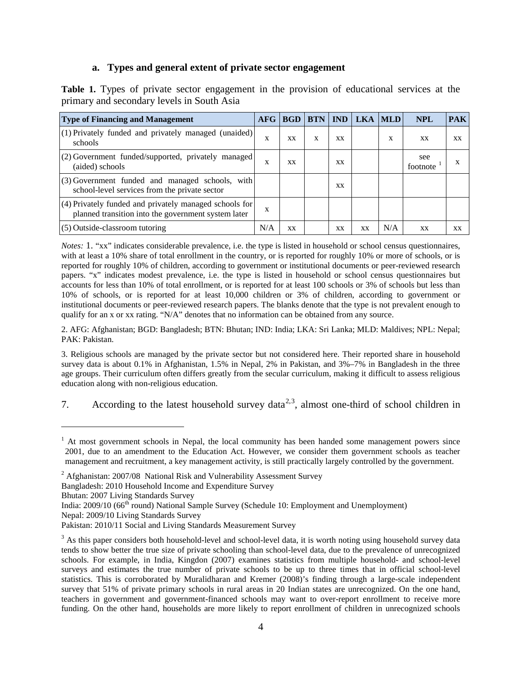## **a. Types and general extent of private sector engagement**

**Table 1.** Types of private sector engagement in the provision of educational services at the primary and secondary levels in South Asia

| <b>Type of Financing and Management</b>                                                                       | <b>AFG</b> | <b>BGD</b> | <b>BTN</b> | <b>IND</b> | LKA       | <b>MLD</b> | <b>NPL</b>      | <b>PAK</b> |
|---------------------------------------------------------------------------------------------------------------|------------|------------|------------|------------|-----------|------------|-----------------|------------|
| $(1)$ Privately funded and privately managed (unaided)<br>schools                                             | X          | XX         | X          | XХ         |           | X          | XX              | XX         |
| (2) Government funded/supported, privately managed<br>(aided) schools                                         | X          | XX         |            | xх         |           |            | see<br>footnote | х          |
| $(3)$ Government funded and managed schools, with<br>school-level services from the private sector            |            |            |            | XХ         |           |            |                 |            |
| (4) Privately funded and privately managed schools for<br>planned transition into the government system later | X          |            |            |            |           |            |                 |            |
| (5) Outside-classroom tutoring                                                                                | N/A        | XX         |            | xх         | <b>XX</b> | N/A        | XX              | XX         |

*Notes:* 1. "xx" indicates considerable prevalence, i.e. the type is listed in household or school census questionnaires, with at least a 10% share of total enrollment in the country, or is reported for roughly 10% or more of schools, or is reported for roughly 10% of children, according to government or institutional documents or peer-reviewed research papers. "x" indicates modest prevalence, i.e. the type is listed in household or school census questionnaires but accounts for less than 10% of total enrollment, or is reported for at least 100 schools or 3% of schools but less than 10% of schools, or is reported for at least 10,000 children or 3% of children, according to government or institutional documents or peer-reviewed research papers. The blanks denote that the type is not prevalent enough to qualify for an x or xx rating. "N/A" denotes that no information can be obtained from any source.

2. AFG: Afghanistan; BGD: Bangladesh; BTN: Bhutan; IND: India; LKA: Sri Lanka; MLD: Maldives; NPL: Nepal; PAK: Pakistan.

3. Religious schools are managed by the private sector but not considered here. Their reported share in household survey data is about 0.1% in Afghanistan, 1.5% in Nepal, 2% in Pakistan, and 3%–7% in Bangladesh in the three age groups. Their curriculum often differs greatly from the secular curriculum, making it difficult to assess religious education along with non-religious education.

7. According to the latest household survey data<sup>[2](#page-5-1),[3](#page-5-2)</sup>, almost one-third of school children in

Bangladesh: 2010 Household Income and Expenditure Survey

Bhutan: 2007 Living Standards Survey

 $\overline{a}$ 

- Nepal: 2009/10 Living Standards Survey
- Pakistan: 2010/11 Social and Living Standards Measurement Survey

<span id="page-5-0"></span><sup>&</sup>lt;sup>1</sup> At most government schools in Nepal, the local community has been handed some management powers since 2001, due to an amendment to the Education Act. However, we consider them government schools as teacher management and recruitment, a key management activity, is still practically largely controlled by the government.

<span id="page-5-1"></span> $2$  Afghanistan: 2007/08 National Risk and Vulnerability Assessment Survey

India: 2009/10 (66<sup>th</sup> round) National Sample Survey (Schedule 10: Employment and Unemployment)

<span id="page-5-2"></span><sup>&</sup>lt;sup>3</sup> As this paper considers both household-level and school-level data, it is worth noting using household survey data tends to show better the true size of private schooling than school-level data, due to the prevalence of unrecognized schools. For example, in India, Kingdon (2007) examines statistics from multiple household- and school-level surveys and estimates the true number of private schools to be up to three times that in official school-level statistics. This is corroborated by Muralidharan and Kremer (2008)'s finding through a large-scale independent survey that 51% of private primary schools in rural areas in 20 Indian states are unrecognized. On the one hand, teachers in government and government-financed schools may want to over-report enrollment to receive more funding. On the other hand, households are more likely to report enrollment of children in unrecognized schools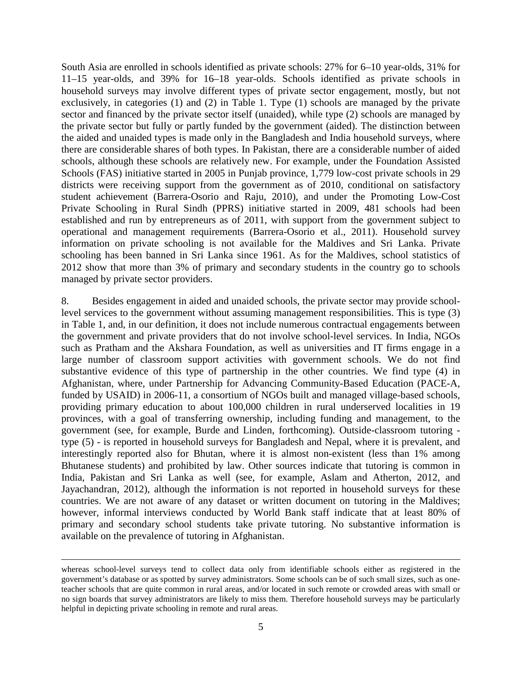South Asia are enrolled in schools identified as private schools: 27% for 6–10 year-olds, 31% for 11–15 year-olds, and 39% for 16–18 year-olds. Schools identified as private schools in household surveys may involve different types of private sector engagement, mostly, but not exclusively, in categories (1) and (2) in Table 1. Type (1) schools are managed by the private sector and financed by the private sector itself (unaided), while type (2) schools are managed by the private sector but fully or partly funded by the government (aided). The distinction between the aided and unaided types is made only in the Bangladesh and India household surveys, where there are considerable shares of both types. In Pakistan, there are a considerable number of aided schools, although these schools are relatively new. For example, under the Foundation Assisted Schools (FAS) initiative started in 2005 in Punjab province, 1,779 low-cost private schools in 29 districts were receiving support from the government as of 2010, conditional on satisfactory student achievement (Barrera-Osorio and Raju, 2010), and under the Promoting Low-Cost Private Schooling in Rural Sindh (PPRS) initiative started in 2009, 481 schools had been established and run by entrepreneurs as of 2011, with support from the government subject to operational and management requirements (Barrera-Osorio et al., 2011). Household survey information on private schooling is not available for the Maldives and Sri Lanka. Private schooling has been banned in Sri Lanka since 1961. As for the Maldives, school statistics of 2012 show that more than 3% of primary and secondary students in the country go to schools managed by private sector providers.

8. Besides engagement in aided and unaided schools, the private sector may provide schoollevel services to the government without assuming management responsibilities. This is type (3) in Table 1, and, in our definition, it does not include numerous contractual engagements between the government and private providers that do not involve school-level services. In India, NGOs such as Pratham and the Akshara Foundation, as well as universities and IT firms engage in a large number of classroom support activities with government schools. We do not find substantive evidence of this type of partnership in the other countries. We find type (4) in Afghanistan, where, under Partnership for Advancing Community-Based Education (PACE-A, funded by USAID) in 2006-11, a consortium of NGOs built and managed village-based schools, providing primary education to about 100,000 children in rural underserved localities in 19 provinces, with a goal of transferring ownership, including funding and management, to the government (see, for example, Burde and Linden, forthcoming). Outside-classroom tutoring type (5) - is reported in household surveys for Bangladesh and Nepal, where it is prevalent, and interestingly reported also for Bhutan, where it is almost non-existent (less than 1% among Bhutanese students) and prohibited by law. Other sources indicate that tutoring is common in India, Pakistan and Sri Lanka as well (see, for example, Aslam and Atherton, 2012, and Jayachandran, 2012), although the information is not reported in household surveys for these countries. We are not aware of any dataset or written document on tutoring in the Maldives; however, informal interviews conducted by World Bank staff indicate that at least 80% of primary and secondary school students take private tutoring. No substantive information is available on the prevalence of tutoring in Afghanistan.

 $\overline{a}$ 

whereas school-level surveys tend to collect data only from identifiable schools either as registered in the government's database or as spotted by survey administrators. Some schools can be of such small sizes, such as oneteacher schools that are quite common in rural areas, and/or located in such remote or crowded areas with small or no sign boards that survey administrators are likely to miss them. Therefore household surveys may be particularly helpful in depicting private schooling in remote and rural areas.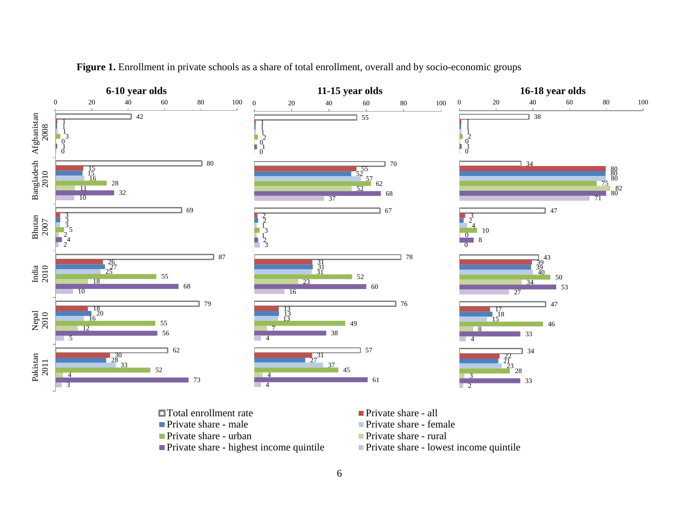

Figure 1. Enrollment in private schools as a share of total enrollment, overall and by socio-economic groups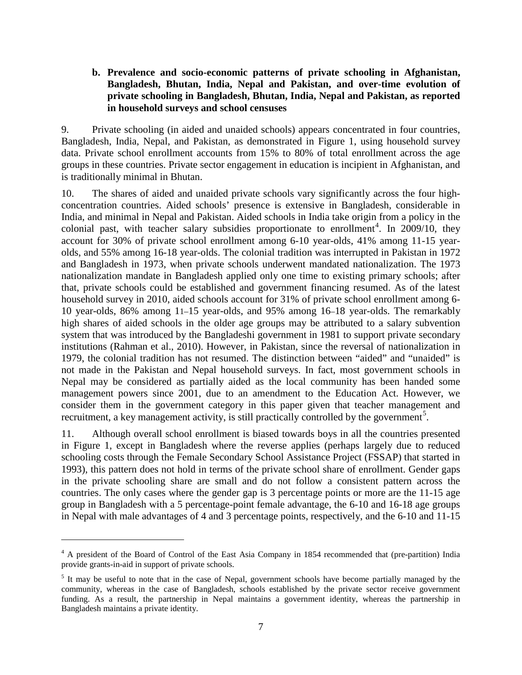# **b. Prevalence and socio-economic patterns of private schooling in Afghanistan, Bangladesh, Bhutan, India, Nepal and Pakistan, and over-time evolution of private schooling in Bangladesh, Bhutan, India, Nepal and Pakistan, as reported in household surveys and school censuses**

9. Private schooling (in aided and unaided schools) appears concentrated in four countries, Bangladesh, India, Nepal, and Pakistan, as demonstrated in Figure 1, using household survey data. Private school enrollment accounts from 15% to 80% of total enrollment across the age groups in these countries. Private sector engagement in education is incipient in Afghanistan, and is traditionally minimal in Bhutan.

10. The shares of aided and unaided private schools vary significantly across the four highconcentration countries. Aided schools' presence is extensive in Bangladesh, considerable in India, and minimal in Nepal and Pakistan. Aided schools in India take origin from a policy in the colonial past, with teacher salary subsidies proportionate to enrollment<sup>[4](#page-8-0)</sup>. In  $2009/10$ , they account for 30% of private school enrollment among 6-10 year-olds, 41% among 11-15 yearolds, and 55% among 16-18 year-olds. The colonial tradition was interrupted in Pakistan in 1972 and Bangladesh in 1973, when private schools underwent mandated nationalization. The 1973 nationalization mandate in Bangladesh applied only one time to existing primary schools; after that, private schools could be established and government financing resumed. As of the latest household survey in 2010, aided schools account for 31% of private school enrollment among 6- 10 year-olds, 86% among 11–15 year-olds, and 95% among 16–18 year-olds. The remarkably high shares of aided schools in the older age groups may be attributed to a salary subvention system that was introduced by the Bangladeshi government in 1981 to support private secondary institutions (Rahman et al., 2010). However, in Pakistan, since the reversal of nationalization in 1979, the colonial tradition has not resumed. The distinction between "aided" and "unaided" is not made in the Pakistan and Nepal household surveys. In fact, most government schools in Nepal may be considered as partially aided as the local community has been handed some management powers since 2001, due to an amendment to the Education Act. However, we consider them in the government category in this paper given that teacher management and recruitment, a key management activity, is still practically controlled by the government<sup>[5](#page-8-1)</sup>.

11. Although overall school enrollment is biased towards boys in all the countries presented in Figure 1, except in Bangladesh where the reverse applies (perhaps largely due to reduced schooling costs through the Female Secondary School Assistance Project (FSSAP) that started in 1993), this pattern does not hold in terms of the private school share of enrollment. Gender gaps in the private schooling share are small and do not follow a consistent pattern across the countries. The only cases where the gender gap is 3 percentage points or more are the 11-15 age group in Bangladesh with a 5 percentage-point female advantage, the 6-10 and 16-18 age groups in Nepal with male advantages of 4 and 3 percentage points, respectively, and the 6-10 and 11-15

 $\overline{a}$ 

<span id="page-8-0"></span><sup>&</sup>lt;sup>4</sup> A president of the Board of Control of the East Asia Company in 1854 recommended that (pre-partition) India provide grants-in-aid in support of private schools.

<span id="page-8-1"></span><sup>&</sup>lt;sup>5</sup> It may be useful to note that in the case of Nepal, government schools have become partially managed by the community, whereas in the case of Bangladesh, schools established by the private sector receive government funding. As a result, the partnership in Nepal maintains a government identity, whereas the partnership in Bangladesh maintains a private identity.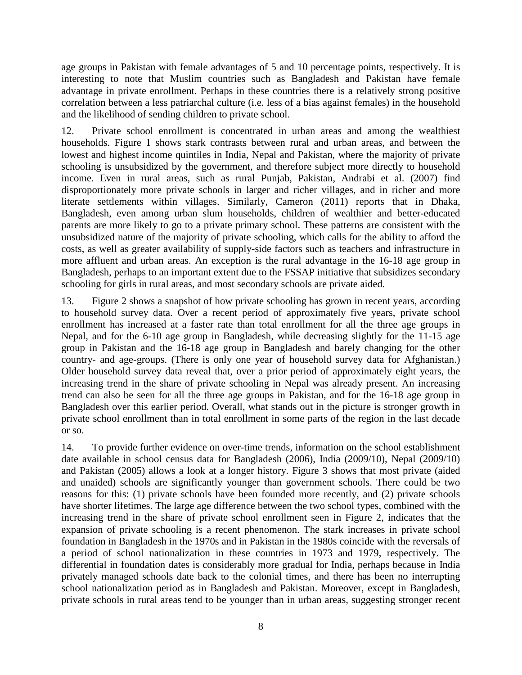age groups in Pakistan with female advantages of 5 and 10 percentage points, respectively. It is interesting to note that Muslim countries such as Bangladesh and Pakistan have female advantage in private enrollment. Perhaps in these countries there is a relatively strong positive correlation between a less patriarchal culture (i.e. less of a bias against females) in the household and the likelihood of sending children to private school.

12. Private school enrollment is concentrated in urban areas and among the wealthiest households. Figure 1 shows stark contrasts between rural and urban areas, and between the lowest and highest income quintiles in India, Nepal and Pakistan, where the majority of private schooling is unsubsidized by the government, and therefore subject more directly to household income. Even in rural areas, such as rural Punjab, Pakistan, Andrabi et al. (2007) find disproportionately more private schools in larger and richer villages, and in richer and more literate settlements within villages. Similarly, Cameron (2011) reports that in Dhaka, Bangladesh, even among urban slum households, children of wealthier and better-educated parents are more likely to go to a private primary school. These patterns are consistent with the unsubsidized nature of the majority of private schooling, which calls for the ability to afford the costs, as well as greater availability of supply-side factors such as teachers and infrastructure in more affluent and urban areas. An exception is the rural advantage in the 16-18 age group in Bangladesh, perhaps to an important extent due to the FSSAP initiative that subsidizes secondary schooling for girls in rural areas, and most secondary schools are private aided.

13. Figure 2 shows a snapshot of how private schooling has grown in recent years, according to household survey data. Over a recent period of approximately five years, private school enrollment has increased at a faster rate than total enrollment for all the three age groups in Nepal, and for the 6-10 age group in Bangladesh, while decreasing slightly for the 11-15 age group in Pakistan and the 16-18 age group in Bangladesh and barely changing for the other country- and age-groups. (There is only one year of household survey data for Afghanistan.) Older household survey data reveal that, over a prior period of approximately eight years, the increasing trend in the share of private schooling in Nepal was already present. An increasing trend can also be seen for all the three age groups in Pakistan, and for the 16-18 age group in Bangladesh over this earlier period. Overall, what stands out in the picture is stronger growth in private school enrollment than in total enrollment in some parts of the region in the last decade or so.

14. To provide further evidence on over-time trends, information on the school establishment date available in school census data for Bangladesh (2006), India (2009/10), Nepal (2009/10) and Pakistan (2005) allows a look at a longer history. Figure 3 shows that most private (aided and unaided) schools are significantly younger than government schools. There could be two reasons for this: (1) private schools have been founded more recently, and (2) private schools have shorter lifetimes. The large age difference between the two school types, combined with the increasing trend in the share of private school enrollment seen in Figure 2, indicates that the expansion of private schooling is a recent phenomenon. The stark increases in private school foundation in Bangladesh in the 1970s and in Pakistan in the 1980s coincide with the reversals of a period of school nationalization in these countries in 1973 and 1979, respectively. The differential in foundation dates is considerably more gradual for India, perhaps because in India privately managed schools date back to the colonial times, and there has been no interrupting school nationalization period as in Bangladesh and Pakistan. Moreover, except in Bangladesh, private schools in rural areas tend to be younger than in urban areas, suggesting stronger recent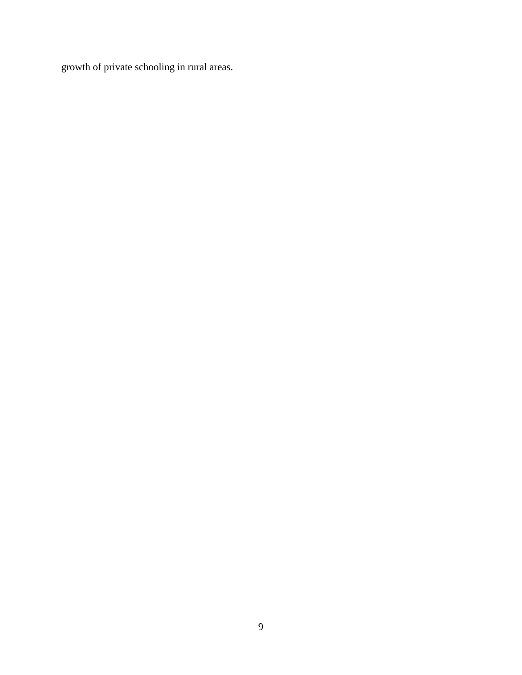growth of private schooling in rural areas.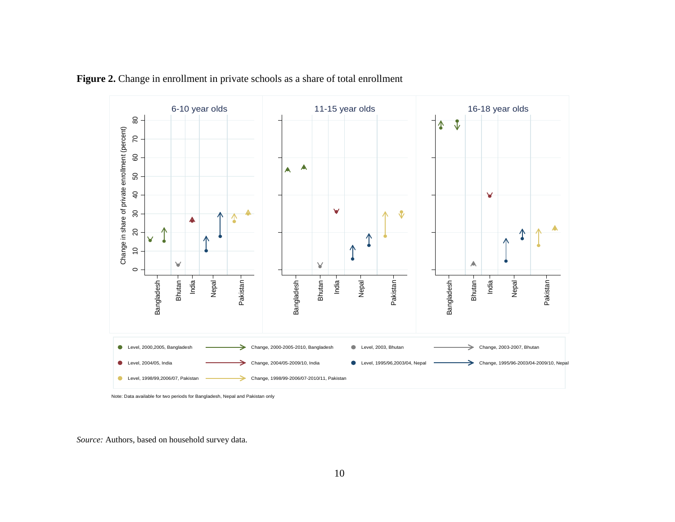

Figure 2. Change in enrollment in private schools as a share of total enrollment

Note: Data available for two periods for Bangladesh, Nepal and Pakistan only

*Source:* Authors, based on household survey data.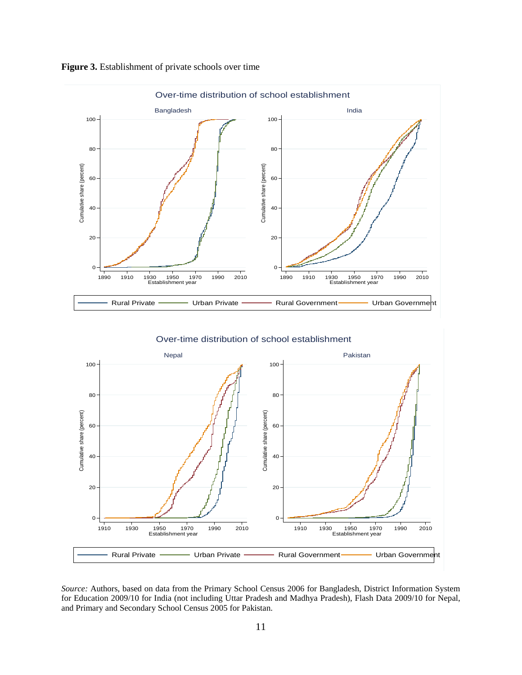

## **Figure 3.** Establishment of private schools over time

*Source:* Authors, based on data from the Primary School Census 2006 for Bangladesh, District Information System for Education 2009/10 for India (not including Uttar Pradesh and Madhya Pradesh), Flash Data 2009/10 for Nepal, and Primary and Secondary School Census 2005 for Pakistan.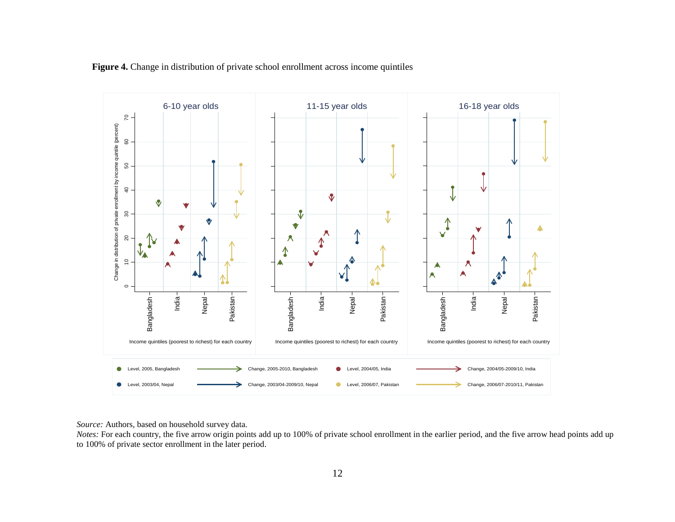

**Figure 4.** Change in distribution of private school enrollment across income quintiles

*Source:* Authors, based on household survey data.

*Notes:* For each country, the five arrow origin points add up to 100% of private school enrollment in the earlier period, and the five arrow head points add up to 100% of private sector enrollment in the later period.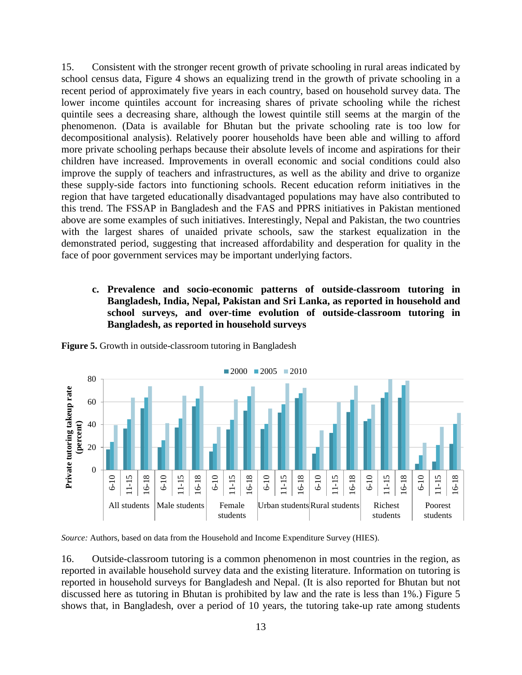15. Consistent with the stronger recent growth of private schooling in rural areas indicated by school census data, Figure 4 shows an equalizing trend in the growth of private schooling in a recent period of approximately five years in each country, based on household survey data. The lower income quintiles account for increasing shares of private schooling while the richest quintile sees a decreasing share, although the lowest quintile still seems at the margin of the phenomenon. (Data is available for Bhutan but the private schooling rate is too low for decompositional analysis). Relatively poorer households have been able and willing to afford more private schooling perhaps because their absolute levels of income and aspirations for their children have increased. Improvements in overall economic and social conditions could also improve the supply of teachers and infrastructures, as well as the ability and drive to organize these supply-side factors into functioning schools. Recent education reform initiatives in the region that have targeted educationally disadvantaged populations may have also contributed to this trend. The FSSAP in Bangladesh and the FAS and PPRS initiatives in Pakistan mentioned above are some examples of such initiatives. Interestingly, Nepal and Pakistan, the two countries with the largest shares of unaided private schools, saw the starkest equalization in the demonstrated period, suggesting that increased affordability and desperation for quality in the face of poor government services may be important underlying factors.

**c. Prevalence and socio-economic patterns of outside-classroom tutoring in Bangladesh, India, Nepal, Pakistan and Sri Lanka, as reported in household and school surveys, and over-time evolution of outside-classroom tutoring in Bangladesh, as reported in household surveys**



**Figure 5.** Growth in outside-classroom tutoring in Bangladesh

*Source:* Authors, based on data from the Household and Income Expenditure Survey (HIES).

16. Outside-classroom tutoring is a common phenomenon in most countries in the region, as reported in available household survey data and the existing literature. Information on tutoring is reported in household surveys for Bangladesh and Nepal. (It is also reported for Bhutan but not discussed here as tutoring in Bhutan is prohibited by law and the rate is less than 1%.) Figure 5 shows that, in Bangladesh, over a period of 10 years, the tutoring take-up rate among students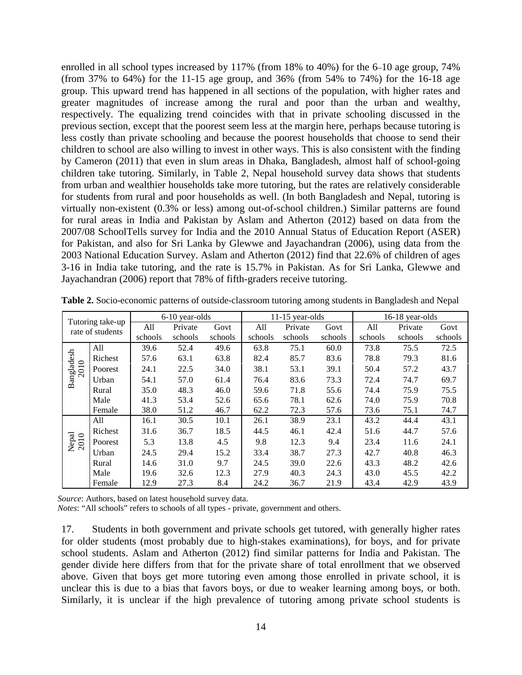enrolled in all school types increased by 117% (from 18% to 40%) for the 6–10 age group, 74% (from 37% to 64%) for the 11-15 age group, and 36% (from 54% to 74%) for the 16-18 age group. This upward trend has happened in all sections of the population, with higher rates and greater magnitudes of increase among the rural and poor than the urban and wealthy, respectively. The equalizing trend coincides with that in private schooling discussed in the previous section, except that the poorest seem less at the margin here, perhaps because tutoring is less costly than private schooling and because the poorest households that choose to send their children to school are also willing to invest in other ways. This is also consistent with the finding by Cameron (2011) that even in slum areas in Dhaka, Bangladesh, almost half of school-going children take tutoring. Similarly, in Table 2, Nepal household survey data shows that students from urban and wealthier households take more tutoring, but the rates are relatively considerable for students from rural and poor households as well. (In both Bangladesh and Nepal, tutoring is virtually non-existent (0.3% or less) among out-of-school children.) Similar patterns are found for rural areas in India and Pakistan by Aslam and Atherton (2012) based on data from the 2007/08 SchoolTells survey for India and the 2010 Annual Status of Education Report (ASER) for Pakistan, and also for Sri Lanka by Glewwe and Jayachandran (2006), using data from the 2003 National Education Survey. Aslam and Atherton (2012) find that 22.6% of children of ages 3-16 in India take tutoring, and the rate is 15.7% in Pakistan. As for Sri Lanka, Glewwe and Jayachandran (2006) report that 78% of fifth-graders receive tutoring.

| Tutoring take-up  |                  | 6-10 year-olds |         |         | $11-15$ year-olds |         |         | 16-18 year-olds |         |         |
|-------------------|------------------|----------------|---------|---------|-------------------|---------|---------|-----------------|---------|---------|
|                   | rate of students | All            | Private | Govt    | All               | Private | Govt    | All             | Private | Govt    |
|                   |                  | schools        | schools | schools | schools           | schools | schools | schools         | schools | schools |
|                   | All              | 39.6           | 52.4    | 49.6    | 63.8              | 75.1    | 60.0    | 73.8            | 75.5    | 72.5    |
| $\circ$           | Richest          | 57.6           | 63.1    | 63.8    | 82.4              | 85.7    | 83.6    | 78.8            | 79.3    | 81.6    |
| Bangladesh<br>201 | Poorest          | 24.1           | 22.5    | 34.0    | 38.1              | 53.1    | 39.1    | 50.4            | 57.2    | 43.7    |
|                   | Urban            | 54.1           | 57.0    | 61.4    | 76.4              | 83.6    | 73.3    | 72.4            | 74.7    | 69.7    |
|                   | Rural            | 35.0           | 48.3    | 46.0    | 59.6              | 71.8    | 55.6    | 74.4            | 75.9    | 75.5    |
|                   | Male             | 41.3           | 53.4    | 52.6    | 65.6              | 78.1    | 62.6    | 74.0            | 75.9    | 70.8    |
|                   | Female           | 38.0           | 51.2    | 46.7    | 62.2              | 72.3    | 57.6    | 73.6            | 75.1    | 74.7    |
|                   | All              | 16.1           | 30.5    | 10.1    | 26.1              | 38.9    | 23.1    | 43.2            | 44.4    | 43.1    |
|                   | Richest          | 31.6           | 36.7    | 18.5    | 44.5              | 46.1    | 42.4    | 51.6            | 44.7    | 57.6    |
| Nepal<br>2010     | Poorest          | 5.3            | 13.8    | 4.5     | 9.8               | 12.3    | 9.4     | 23.4            | 11.6    | 24.1    |
|                   | Urban            | 24.5           | 29.4    | 15.2    | 33.4              | 38.7    | 27.3    | 42.7            | 40.8    | 46.3    |
|                   | Rural            | 14.6           | 31.0    | 9.7     | 24.5              | 39.0    | 22.6    | 43.3            | 48.2    | 42.6    |
|                   | Male             | 19.6           | 32.6    | 12.3    | 27.9              | 40.3    | 24.3    | 43.0            | 45.5    | 42.2    |
|                   | Female           | 12.9           | 27.3    | 8.4     | 24.2              | 36.7    | 21.9    | 43.4            | 42.9    | 43.9    |

**Table 2.** Socio-economic patterns of outside-classroom tutoring among students in Bangladesh and Nepal

*Source*: Authors, based on latest household survey data.

*Notes*: "All schools" refers to schools of all types - private, government and others.

17. Students in both government and private schools get tutored, with generally higher rates for older students (most probably due to high-stakes examinations), for boys, and for private school students. Aslam and Atherton (2012) find similar patterns for India and Pakistan. The gender divide here differs from that for the private share of total enrollment that we observed above. Given that boys get more tutoring even among those enrolled in private school, it is unclear this is due to a bias that favors boys, or due to weaker learning among boys, or both. Similarly, it is unclear if the high prevalence of tutoring among private school students is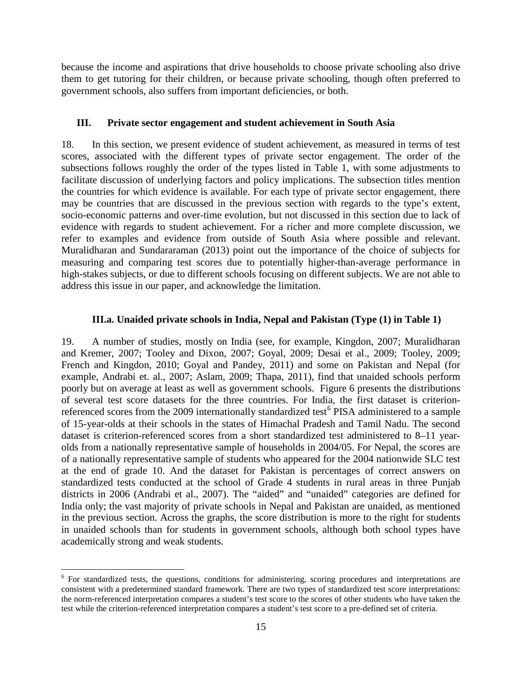because the income and aspirations that drive households to choose private schooling also drive them to get tutoring for their children, or because private schooling, though often preferred to government schools, also suffers from important deficiencies, or both.

## **III. Private sector engagement and student achievement in South Asia**

18. In this section, we present evidence of student achievement, as measured in terms of test scores, associated with the different types of private sector engagement. The order of the subsections follows roughly the order of the types listed in Table 1, with some adjustments to facilitate discussion of underlying factors and policy implications. The subsection titles mention the countries for which evidence is available. For each type of private sector engagement, there may be countries that are discussed in the previous section with regards to the type's extent, socio-economic patterns and over-time evolution, but not discussed in this section due to lack of evidence with regards to student achievement. For a richer and more complete discussion, we refer to examples and evidence from outside of South Asia where possible and relevant. Muralidharan and Sundararaman (2013) point out the importance of the choice of subjects for measuring and comparing test scores due to potentially higher-than-average performance in high-stakes subjects, or due to different schools focusing on different subjects. We are not able to address this issue in our paper, and acknowledge the limitation.

# **III.a. Unaided private schools in India, Nepal and Pakistan (Type (1) in Table 1)**

19. A number of studies, mostly on India (see, for example, Kingdon, 2007; Muralidharan and Kremer, 2007; Tooley and Dixon, 2007; Goyal, 2009; Desai et al., 2009; Tooley, 2009; French and Kingdon, 2010; Goyal and Pandey, 2011) and some on Pakistan and Nepal (for example, Andrabi et. al., 2007; Aslam, 2009; Thapa, 2011), find that unaided schools perform poorly but on average at least as well as government schools. Figure 6 presents the distributions of several test score datasets for the three countries. For India, the first dataset is criterion-referenced scores from the 2009 internationally standardized test<sup>[6](#page-16-0)</sup> PISA administered to a sample of 15-year-olds at their schools in the states of Himachal Pradesh and Tamil Nadu. The second dataset is criterion-referenced scores from a short standardized test administered to 8–11 yearolds from a nationally representative sample of households in 2004/05. For Nepal, the scores are of a nationally representative sample of students who appeared for the 2004 nationwide SLC test at the end of grade 10. And the dataset for Pakistan is percentages of correct answers on standardized tests conducted at the school of Grade 4 students in rural areas in three Punjab districts in 2006 (Andrabi et al., 2007). The "aided" and "unaided" categories are defined for India only; the vast majority of private schools in Nepal and Pakistan are unaided, as mentioned in the previous section. Across the graphs, the score distribution is more to the right for students in unaided schools than for students in government schools, although both school types have academically strong and weak students.

<span id="page-16-0"></span><sup>&</sup>lt;sup>6</sup> For standardized tests, the questions, conditions for administering, scoring procedures and interpretations are consistent with a predetermined standard framework. There are two types of standardized test score interpretations: the norm-referenced interpretation compares a student's test score to the scores of other students who have taken the test while the criterion-referenced interpretation compares a student's test score to a pre-defined set of criteria.  $\overline{a}$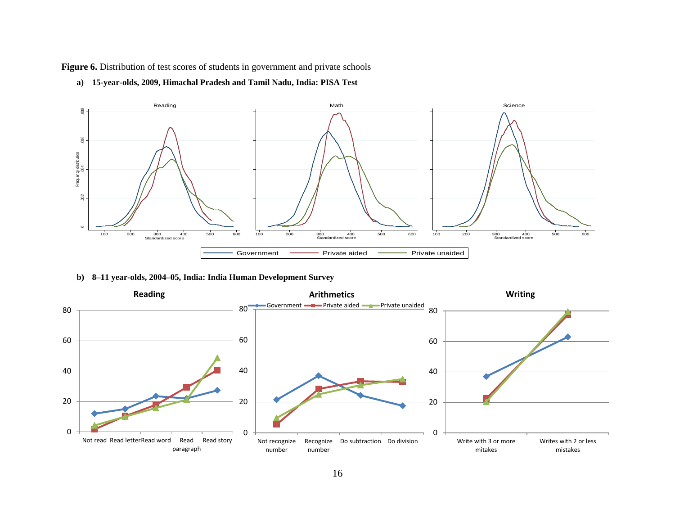Figure 6. Distribution of test scores of students in government and private schools



**a) 15-year-olds, 2009, Himachal Pradesh and Tamil Nadu, India: PISA Test** 

#### **b) 8–11 year-olds, 2004–05, India: India Human Development Survey**

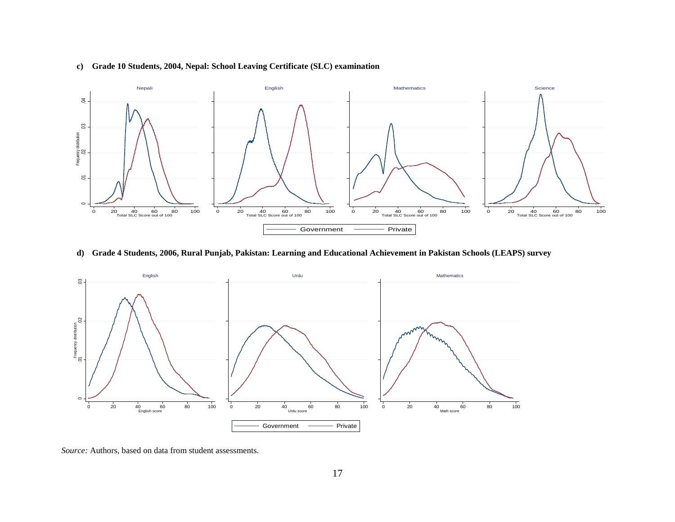

#### **c) Grade 10 Students, 2004, Nepal: School Leaving Certificate (SLC) examination**

**d) Grade 4 Students, 2006, Rural Punjab, Pakistan: Learning and Educational Achievement in Pakistan Schools (LEAPS) survey**



*Source:* Authors, based on data from student assessments.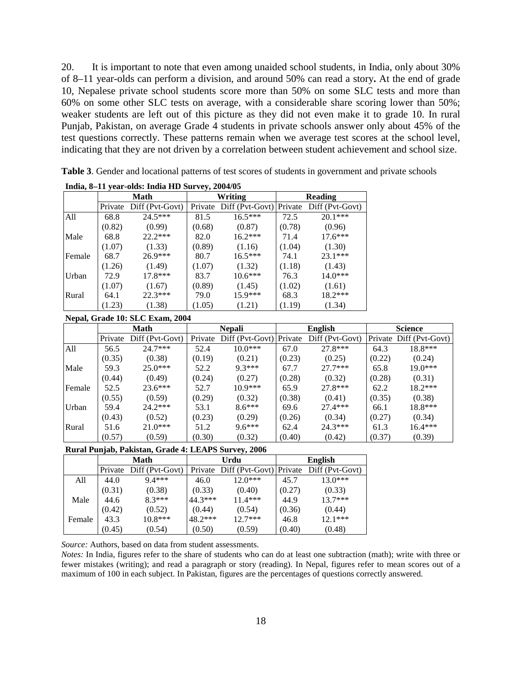20. It is important to note that even among unaided school students, in India, only about 30% of 8–11 year-olds can perform a division, and around 50% can read a story**.** At the end of grade 10, Nepalese private school students score more than 50% on some SLC tests and more than 60% on some other SLC tests on average, with a considerable share scoring lower than 50%; weaker students are left out of this picture as they did not even make it to grade 10. In rural Punjab, Pakistan, on average Grade 4 students in private schools answer only about 45% of the test questions correctly. These patterns remain when we average test scores at the school level, indicating that they are not driven by a correlation between student achievement and school size.

| $m0 = 11$ year-ouas: mula HD Survey, $2004/05$ |        |                         |        |                                 |                |                 |  |  |
|------------------------------------------------|--------|-------------------------|--------|---------------------------------|----------------|-----------------|--|--|
|                                                |        | Math                    |        | <b>Writing</b>                  | <b>Reading</b> |                 |  |  |
|                                                |        | Private Diff (Pvt-Govt) |        | Private Diff (Pvt-Govt) Private |                | Diff (Pvt-Govt) |  |  |
| All                                            | 68.8   | $24.5***$               | 81.5   | $16.5***$                       | 72.5           | $20.1***$       |  |  |
|                                                | (0.82) | (0.99)                  | (0.68) | (0.87)                          | (0.78)         | (0.96)          |  |  |
| Male                                           | 68.8   | $22.2***$               | 82.0   | $16.2***$                       | 71.4           | $17.6***$       |  |  |
|                                                | (1.07) | (1.33)                  | (0.89) | (1.16)                          | (1.04)         | (1.30)          |  |  |
| Female                                         | 68.7   | 26.9***                 | 80.7   | $16.5***$                       | 74.1           | 23.1***         |  |  |
|                                                | (1.26) | (1.49)                  | (1.07) | (1.32)                          | (1.18)         | (1.43)          |  |  |
| Urban                                          | 72.9   | $17.8***$               | 83.7   | $10.6***$                       | 76.3           | $14.0***$       |  |  |
|                                                | (1.07) | (1.67)                  | (0.89) | (1.45)                          | (1.02)         | (1.61)          |  |  |
| Rural                                          | 64.1   | $22.3***$               | 79.0   | $15.9***$                       | 68.3           | 18.2***         |  |  |
|                                                | (1.23) | (1.38)                  | (1.05) | (1.21)                          | (1.19)         | (1.34)          |  |  |

**Table 3**. Gender and locational patterns of test scores of students in government and private schools **India, 8–11 year-olds: India HD Survey, 2004/05**

| Nepal, Grade 10: SLC Exam, 2004 |  |  |  |  |  |
|---------------------------------|--|--|--|--|--|
|---------------------------------|--|--|--|--|--|

|        | Math    |                 | <b>Nepali</b> |                                 |        | English         | <b>Science</b> |                         |
|--------|---------|-----------------|---------------|---------------------------------|--------|-----------------|----------------|-------------------------|
|        | Private | Diff (Pvt-Govt) |               | Private Diff (Pvt-Govt) Private |        | Diff (Pvt-Govt) |                | Private Diff (Pvt-Govt) |
| All    | 56.5    | $24.7***$       | 52.4          | $10.0***$                       | 67.0   | 27.8***         | 64.3           | 18.8***                 |
|        | (0.35)  | (0.38)          | (0.19)        | (0.21)                          | (0.23) | (0.25)          | (0.22)         | (0.24)                  |
| Male   | 59.3    | $25.0***$       | 52.2          | $9.3***$                        | 67.7   | $27.7***$       | 65.8           | $19.0***$               |
|        | (0.44)  | (0.49)          | (0.24)        | (0.27)                          | (0.28) | (0.32)          | (0.28)         | (0.31)                  |
| Female | 52.5    | $23.6***$       | 52.7          | $10.9***$                       | 65.9   | $27.8***$       | 62.2           | $18.2***$               |
|        | (0.55)  | (0.59)          | (0.29)        | (0.32)                          | (0.38) | (0.41)          | (0.35)         | (0.38)                  |
| Urban  | 59.4    | $24.2***$       | 53.1          | $8.6***$                        | 69.6   | $27.4***$       | 66.1           | $18.8***$               |
|        | (0.43)  | (0.52)          | (0.23)        | (0.29)                          | (0.26) | (0.34)          | (0.27)         | (0.34)                  |
| Rural  | 51.6    | $21.0***$       | 51.2          | $9.6***$                        | 62.4   | $24.3***$       | 61.3           | $16.4***$               |
|        | (0.57)  | (0.59)          | (0.30)        | (0.32)                          | (0.40) | (0.42)          | (0.37)         | (0.39)                  |

#### **Rural Punjab, Pakistan, Grade 4: LEAPS Survey, 2006**

|        |        | Math                    |         | Urdu                                            | <b>English</b> |           |  |
|--------|--------|-------------------------|---------|-------------------------------------------------|----------------|-----------|--|
|        |        | Private Diff (Pvt-Govt) |         | Private Diff (Pvt-Govt) Private Diff (Pvt-Govt) |                |           |  |
| All    | 44.0   | $9.4***$                | 46.0    | $12.0***$                                       | 45.7           | $13.0***$ |  |
|        | (0.31) | (0.38)                  | (0.33)  | (0.40)                                          | (0.27)         | (0.33)    |  |
| Male   | 44.6   | $8.3***$                | 44.3*** | $11.4***$                                       | 44.9           | $137***$  |  |
|        | (0.42) | (0.52)                  | (0.44)  | (0.54)                                          | (0.36)         | (0.44)    |  |
| Female | 43.3   | $10.8***$               | 48.2*** | $12.7***$                                       | 46.8           | $12.1***$ |  |
|        | (0.45) | (0.54)                  | (0.50)  | (0.59)                                          | (0.40)         | (0.48)    |  |

*Source:* Authors, based on data from student assessments.

*Notes:* In India, figures refer to the share of students who can do at least one subtraction (math); write with three or fewer mistakes (writing); and read a paragraph or story (reading). In Nepal, figures refer to mean scores out of a maximum of 100 in each subject. In Pakistan, figures are the percentages of questions correctly answered.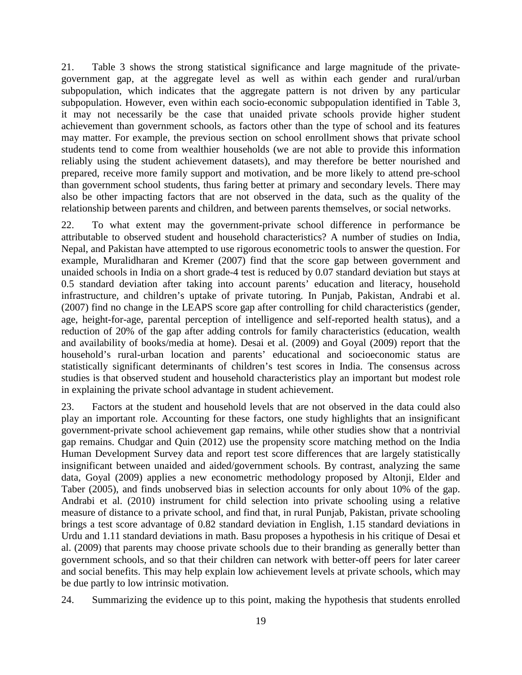21. Table 3 shows the strong statistical significance and large magnitude of the privategovernment gap, at the aggregate level as well as within each gender and rural/urban subpopulation, which indicates that the aggregate pattern is not driven by any particular subpopulation. However, even within each socio-economic subpopulation identified in Table 3, it may not necessarily be the case that unaided private schools provide higher student achievement than government schools, as factors other than the type of school and its features may matter. For example, the previous section on school enrollment shows that private school students tend to come from wealthier households (we are not able to provide this information reliably using the student achievement datasets), and may therefore be better nourished and prepared, receive more family support and motivation, and be more likely to attend pre-school than government school students, thus faring better at primary and secondary levels. There may also be other impacting factors that are not observed in the data, such as the quality of the relationship between parents and children, and between parents themselves, or social networks.

22. To what extent may the government-private school difference in performance be attributable to observed student and household characteristics? A number of studies on India, Nepal, and Pakistan have attempted to use rigorous econometric tools to answer the question. For example, Muralidharan and Kremer (2007) find that the score gap between government and unaided schools in India on a short grade-4 test is reduced by 0.07 standard deviation but stays at 0.5 standard deviation after taking into account parents' education and literacy, household infrastructure, and children's uptake of private tutoring. In Punjab, Pakistan, Andrabi et al. (2007) find no change in the LEAPS score gap after controlling for child characteristics (gender, age, height-for-age, parental perception of intelligence and self-reported health status), and a reduction of 20% of the gap after adding controls for family characteristics (education, wealth and availability of books/media at home). Desai et al. (2009) and Goyal (2009) report that the household's rural-urban location and parents' educational and socioeconomic status are statistically significant determinants of children's test scores in India. The consensus across studies is that observed student and household characteristics play an important but modest role in explaining the private school advantage in student achievement.

23. Factors at the student and household levels that are not observed in the data could also play an important role. Accounting for these factors, one study highlights that an insignificant government-private school achievement gap remains, while other studies show that a nontrivial gap remains. Chudgar and Quin (2012) use the propensity score matching method on the India Human Development Survey data and report test score differences that are largely statistically insignificant between unaided and aided/government schools. By contrast, analyzing the same data, Goyal (2009) applies a new econometric methodology proposed by Altonji, Elder and Taber (2005), and finds unobserved bias in selection accounts for only about 10% of the gap. Andrabi et al. (2010) instrument for child selection into private schooling using a relative measure of distance to a private school, and find that, in rural Punjab, Pakistan, private schooling brings a test score advantage of 0.82 standard deviation in English, 1.15 standard deviations in Urdu and 1.11 standard deviations in math. Basu proposes a hypothesis in his critique of Desai et al. (2009) that parents may choose private schools due to their branding as generally better than government schools, and so that their children can network with better-off peers for later career and social benefits. This may help explain low achievement levels at private schools, which may be due partly to low intrinsic motivation.

24. Summarizing the evidence up to this point, making the hypothesis that students enrolled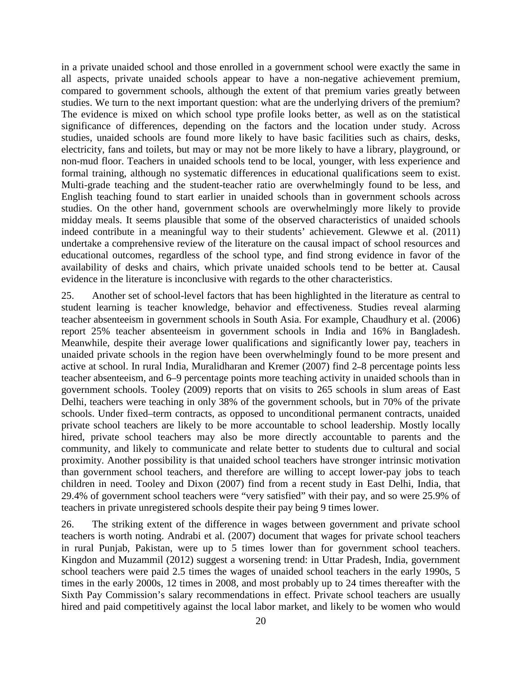in a private unaided school and those enrolled in a government school were exactly the same in all aspects, private unaided schools appear to have a non-negative achievement premium, compared to government schools, although the extent of that premium varies greatly between studies. We turn to the next important question: what are the underlying drivers of the premium? The evidence is mixed on which school type profile looks better, as well as on the statistical significance of differences, depending on the factors and the location under study. Across studies, unaided schools are found more likely to have basic facilities such as chairs, desks, electricity, fans and toilets, but may or may not be more likely to have a library, playground, or non-mud floor. Teachers in unaided schools tend to be local, younger, with less experience and formal training, although no systematic differences in educational qualifications seem to exist. Multi-grade teaching and the student-teacher ratio are overwhelmingly found to be less, and English teaching found to start earlier in unaided schools than in government schools across studies. On the other hand, government schools are overwhelmingly more likely to provide midday meals. It seems plausible that some of the observed characteristics of unaided schools indeed contribute in a meaningful way to their students' achievement. Glewwe et al. (2011) undertake a comprehensive review of the literature on the causal impact of school resources and educational outcomes, regardless of the school type, and find strong evidence in favor of the availability of desks and chairs, which private unaided schools tend to be better at. Causal evidence in the literature is inconclusive with regards to the other characteristics.

25. Another set of school-level factors that has been highlighted in the literature as central to student learning is teacher knowledge, behavior and effectiveness. Studies reveal alarming teacher absenteeism in government schools in South Asia. For example, Chaudhury et al. (2006) report 25% teacher absenteeism in government schools in India and 16% in Bangladesh. Meanwhile, despite their average lower qualifications and significantly lower pay, teachers in unaided private schools in the region have been overwhelmingly found to be more present and active at school. In rural India, Muralidharan and Kremer (2007) find 2**–**8 percentage points less teacher absenteeism, and 6–9 percentage points more teaching activity in unaided schools than in government schools. Tooley (2009) reports that on visits to 265 schools in slum areas of East Delhi, teachers were teaching in only 38% of the government schools, but in 70% of the private schools. Under fixed–term contracts, as opposed to unconditional permanent contracts, unaided private school teachers are likely to be more accountable to school leadership. Mostly locally hired, private school teachers may also be more directly accountable to parents and the community, and likely to communicate and relate better to students due to cultural and social proximity. Another possibility is that unaided school teachers have stronger intrinsic motivation than government school teachers, and therefore are willing to accept lower-pay jobs to teach children in need. Tooley and Dixon (2007) find from a recent study in East Delhi, India, that 29.4% of government school teachers were "very satisfied" with their pay, and so were 25.9% of teachers in private unregistered schools despite their pay being 9 times lower.

26. The striking extent of the difference in wages between government and private school teachers is worth noting. Andrabi et al. (2007) document that wages for private school teachers in rural Punjab, Pakistan, were up to 5 times lower than for government school teachers. Kingdon and Muzammil (2012) suggest a worsening trend: in Uttar Pradesh, India, government school teachers were paid 2.5 times the wages of unaided school teachers in the early 1990s, 5 times in the early 2000s, 12 times in 2008, and most probably up to 24 times thereafter with the Sixth Pay Commission's salary recommendations in effect. Private school teachers are usually hired and paid competitively against the local labor market, and likely to be women who would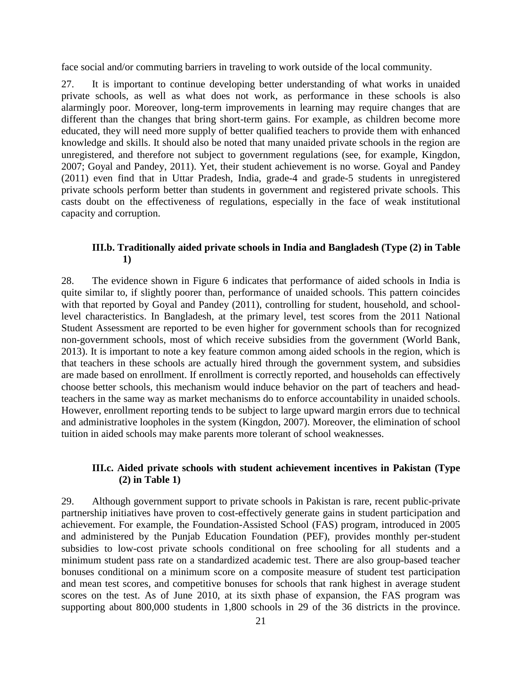face social and/or commuting barriers in traveling to work outside of the local community.

27. It is important to continue developing better understanding of what works in unaided private schools, as well as what does not work, as performance in these schools is also alarmingly poor. Moreover, long-term improvements in learning may require changes that are different than the changes that bring short-term gains. For example, as children become more educated, they will need more supply of better qualified teachers to provide them with enhanced knowledge and skills. It should also be noted that many unaided private schools in the region are unregistered, and therefore not subject to government regulations (see, for example, Kingdon, 2007; Goyal and Pandey, 2011). Yet, their student achievement is no worse. Goyal and Pandey (2011) even find that in Uttar Pradesh, India, grade-4 and grade-5 students in unregistered private schools perform better than students in government and registered private schools. This casts doubt on the effectiveness of regulations, especially in the face of weak institutional capacity and corruption.

# **III.b. Traditionally aided private schools in India and Bangladesh (Type (2) in Table 1)**

28. The evidence shown in Figure 6 indicates that performance of aided schools in India is quite similar to, if slightly poorer than, performance of unaided schools. This pattern coincides with that reported by Goyal and Pandey (2011), controlling for student, household, and schoollevel characteristics. In Bangladesh, at the primary level, test scores from the 2011 National Student Assessment are reported to be even higher for government schools than for recognized non-government schools, most of which receive subsidies from the government (World Bank, 2013). It is important to note a key feature common among aided schools in the region, which is that teachers in these schools are actually hired through the government system, and subsidies are made based on enrollment. If enrollment is correctly reported, and households can effectively choose better schools, this mechanism would induce behavior on the part of teachers and headteachers in the same way as market mechanisms do to enforce accountability in unaided schools. However, enrollment reporting tends to be subject to large upward margin errors due to technical and administrative loopholes in the system (Kingdon, 2007). Moreover, the elimination of school tuition in aided schools may make parents more tolerant of school weaknesses.

# **III.c. Aided private schools with student achievement incentives in Pakistan (Type (2) in Table 1)**

29. Although government support to private schools in Pakistan is rare, recent public-private partnership initiatives have proven to cost-effectively generate gains in student participation and achievement. For example, the Foundation-Assisted School (FAS) program, introduced in 2005 and administered by the Punjab Education Foundation (PEF), provides monthly per-student subsidies to low-cost private schools conditional on free schooling for all students and a minimum student pass rate on a standardized academic test. There are also group-based teacher bonuses conditional on a minimum score on a composite measure of student test participation and mean test scores, and competitive bonuses for schools that rank highest in average student scores on the test. As of June 2010, at its sixth phase of expansion, the FAS program was supporting about 800,000 students in 1,800 schools in 29 of the 36 districts in the province.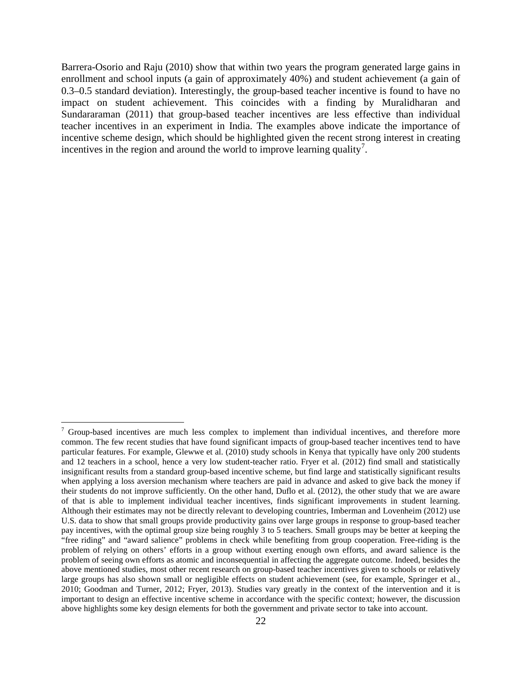Barrera-Osorio and Raju (2010) show that within two years the program generated large gains in enrollment and school inputs (a gain of approximately 40%) and student achievement (a gain of 0.3–0.5 standard deviation). Interestingly, the group-based teacher incentive is found to have no impact on student achievement. This coincides with a finding by Muralidharan and Sundararaman (2011) that group-based teacher incentives are less effective than individual teacher incentives in an experiment in India. The examples above indicate the importance of incentive scheme design, which should be highlighted given the recent strong interest in creating incentives in the region and around the world to improve learning quality<sup>[7](#page-24-0)</sup>.

 $\overline{a}$ 

 $\frac{7}{1}$  Group-based incentives are much less complex to implement than individual incentives, and therefore more common. The few recent studies that have found significant impacts of group-based teacher incentives tend to have particular features. For example, Glewwe et al. (2010) study schools in Kenya that typically have only 200 students and 12 teachers in a school, hence a very low student-teacher ratio. Fryer et al. (2012) find small and statistically insignificant results from a standard group-based incentive scheme, but find large and statistically significant results when applying a loss aversion mechanism where teachers are paid in advance and asked to give back the money if their students do not improve sufficiently. On the other hand, Duflo et al. (2012), the other study that we are aware of that is able to implement individual teacher incentives, finds significant improvements in student learning. Although their estimates may not be directly relevant to developing countries, Imberman and Lovenheim (2012) use U.S. data to show that small groups provide productivity gains over large groups in response to group-based teacher pay incentives, with the optimal group size being roughly 3 to 5 teachers. Small groups may be better at keeping the "free riding" and "award salience" problems in check while benefiting from group cooperation. Free-riding is the problem of relying on others' efforts in a group without exerting enough own efforts, and award salience is the problem of seeing own efforts as atomic and inconsequential in affecting the aggregate outcome. Indeed, besides the above mentioned studies, most other recent research on group-based teacher incentives given to schools or relatively large groups has also shown small or negligible effects on student achievement (see, for example, Springer et al., 2010; Goodman and Turner, 2012; Fryer, 2013). Studies vary greatly in the context of the intervention and it is important to design an effective incentive scheme in accordance with the specific context; however, the discussion above highlights some key design elements for both the government and private sector to take into account.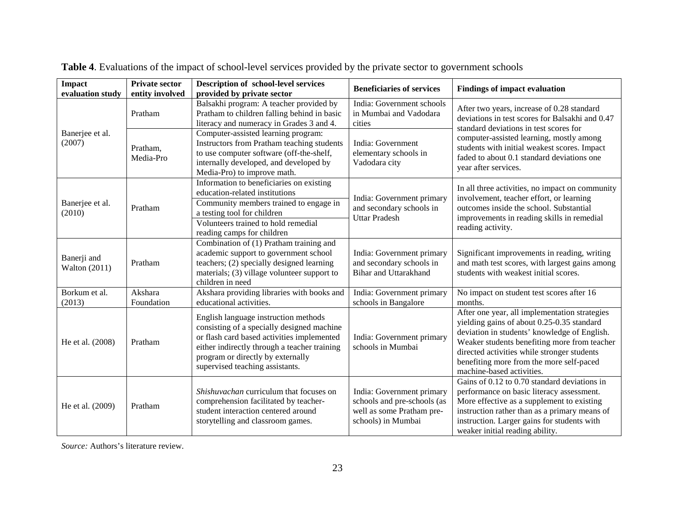| <b>Impact</b>                | <b>Private sector</b> | Description of school-level services                                                                                                                                                                                                                     | <b>Beneficiaries of services</b>                                                                            | <b>Findings of impact evaluation</b>                                                                                                                                                                                                                                                                                |  |  |
|------------------------------|-----------------------|----------------------------------------------------------------------------------------------------------------------------------------------------------------------------------------------------------------------------------------------------------|-------------------------------------------------------------------------------------------------------------|---------------------------------------------------------------------------------------------------------------------------------------------------------------------------------------------------------------------------------------------------------------------------------------------------------------------|--|--|
| evaluation study             | entity involved       | provided by private sector                                                                                                                                                                                                                               |                                                                                                             |                                                                                                                                                                                                                                                                                                                     |  |  |
|                              | Pratham               | Balsakhi program: A teacher provided by<br>Pratham to children falling behind in basic<br>literacy and numeracy in Grades 3 and 4.                                                                                                                       | India: Government schools<br>in Mumbai and Vadodara<br>cities                                               | After two years, increase of 0.28 standard<br>deviations in test scores for Balsakhi and 0.47                                                                                                                                                                                                                       |  |  |
| Banerjee et al.<br>(2007)    | Pratham,<br>Media-Pro | Computer-assisted learning program:<br>Instructors from Pratham teaching students<br>to use computer software (off-the-shelf,<br>internally developed, and developed by<br>Media-Pro) to improve math.                                                   | India: Government<br>elementary schools in<br>Vadodara city                                                 | standard deviations in test scores for<br>computer-assisted learning, mostly among<br>students with initial weakest scores. Impact<br>faded to about 0.1 standard deviations one<br>year after services.                                                                                                            |  |  |
| Banerjee et al.<br>(2010)    | Pratham               | Information to beneficiaries on existing<br>education-related institutions<br>Community members trained to engage in<br>a testing tool for children<br>Volunteers trained to hold remedial<br>reading camps for children                                 | India: Government primary<br>and secondary schools in<br><b>Uttar Pradesh</b>                               | In all three activities, no impact on community<br>involvement, teacher effort, or learning<br>outcomes inside the school. Substantial<br>improvements in reading skills in remedial<br>reading activity.                                                                                                           |  |  |
| Banerji and<br>Walton (2011) | Pratham               | Combination of (1) Pratham training and<br>academic support to government school<br>teachers; (2) specially designed learning<br>materials; (3) village volunteer support to<br>children in need                                                         | India: Government primary<br>and secondary schools in<br><b>Bihar and Uttarakhand</b>                       | Significant improvements in reading, writing<br>and math test scores, with largest gains among<br>students with weakest initial scores.                                                                                                                                                                             |  |  |
| Borkum et al.<br>(2013)      | Akshara<br>Foundation | Akshara providing libraries with books and<br>educational activities.                                                                                                                                                                                    | India: Government primary<br>schools in Bangalore                                                           | No impact on student test scores after 16<br>months.                                                                                                                                                                                                                                                                |  |  |
| He et al. (2008)             | Pratham               | English language instruction methods<br>consisting of a specially designed machine<br>or flash card based activities implemented<br>either indirectly through a teacher training<br>program or directly by externally<br>supervised teaching assistants. | India: Government primary<br>schools in Mumbai                                                              | After one year, all implementation strategies<br>yielding gains of about 0.25-0.35 standard<br>deviation in students' knowledge of English.<br>Weaker students benefiting more from teacher<br>directed activities while stronger students<br>benefiting more from the more self-paced<br>machine-based activities. |  |  |
| He et al. (2009)             | Pratham               | Shishuvachan curriculum that focuses on<br>comprehension facilitated by teacher-<br>student interaction centered around<br>storytelling and classroom games.                                                                                             | India: Government primary<br>schools and pre-schools (as<br>well as some Pratham pre-<br>schools) in Mumbai | Gains of 0.12 to 0.70 standard deviations in<br>performance on basic literacy assessment.<br>More effective as a supplement to existing<br>instruction rather than as a primary means of<br>instruction. Larger gains for students with<br>weaker initial reading ability.                                          |  |  |

**Table 4**. Evaluations of the impact of school-level services provided by the private sector to government schools

<span id="page-24-0"></span>*Source:* Authors's literature review.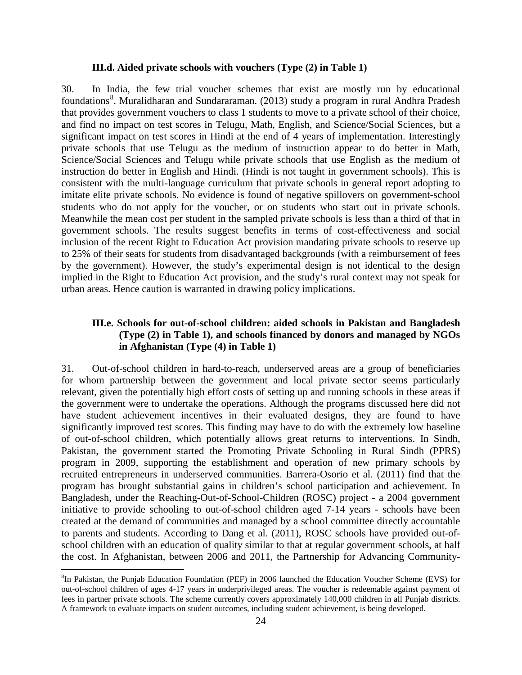## **III.d. Aided private schools with vouchers (Type (2) in Table 1)**

30. In India, the few trial voucher schemes that exist are mostly run by educational foundations<sup>[8](#page-26-0)</sup>. Muralidharan and Sundararaman. (2013) study a program in rural Andhra Pradesh that provides government vouchers to class 1 students to move to a private school of their choice, and find no impact on test scores in Telugu, Math, English, and Science/Social Sciences, but a significant impact on test scores in Hindi at the end of 4 years of implementation. Interestingly private schools that use Telugu as the medium of instruction appear to do better in Math, Science/Social Sciences and Telugu while private schools that use English as the medium of instruction do better in English and Hindi. (Hindi is not taught in government schools). This is consistent with the multi-language curriculum that private schools in general report adopting to imitate elite private schools. No evidence is found of negative spillovers on government-school students who do not apply for the voucher, or on students who start out in private schools. Meanwhile the mean cost per student in the sampled private schools is less than a third of that in government schools. The results suggest benefits in terms of cost-effectiveness and social inclusion of the recent Right to Education Act provision mandating private schools to reserve up to 25% of their seats for students from disadvantaged backgrounds (with a reimbursement of fees by the government). However, the study's experimental design is not identical to the design implied in the Right to Education Act provision, and the study's rural context may not speak for urban areas. Hence caution is warranted in drawing policy implications.

# **III.e. Schools for out-of-school children: aided schools in Pakistan and Bangladesh (Type (2) in Table 1), and schools financed by donors and managed by NGOs in Afghanistan (Type (4) in Table 1)**

31. Out-of-school children in hard-to-reach, underserved areas are a group of beneficiaries for whom partnership between the government and local private sector seems particularly relevant, given the potentially high effort costs of setting up and running schools in these areas if the government were to undertake the operations. Although the programs discussed here did not have student achievement incentives in their evaluated designs, they are found to have significantly improved test scores. This finding may have to do with the extremely low baseline of out-of-school children, which potentially allows great returns to interventions. In Sindh, Pakistan, the government started the Promoting Private Schooling in Rural Sindh (PPRS) program in 2009, supporting the establishment and operation of new primary schools by recruited entrepreneurs in underserved communities. Barrera-Osorio et al. (2011) find that the program has brought substantial gains in children's school participation and achievement. In Bangladesh, under the Reaching-Out-of-School-Children (ROSC) project - a 2004 government initiative to provide schooling to out-of-school children aged 7-14 years - schools have been created at the demand of communities and managed by a school committee directly accountable to parents and students. According to Dang et al. (2011), ROSC schools have provided out-ofschool children with an education of quality similar to that at regular government schools, at half the cost. In Afghanistan, between 2006 and 2011, the Partnership for Advancing Community-

 $\overline{a}$ 

<sup>&</sup>lt;sup>8</sup>In Pakistan, the Punjab Education Foundation (PEF) in 2006 launched the Education Voucher Scheme (EVS) for out-of-school children of ages 4-17 years in underprivileged areas. The voucher is redeemable against payment of fees in partner private schools. The scheme currently covers approximately 140,000 children in all Punjab districts. A framework to evaluate impacts on student outcomes, including student achievement, is being developed.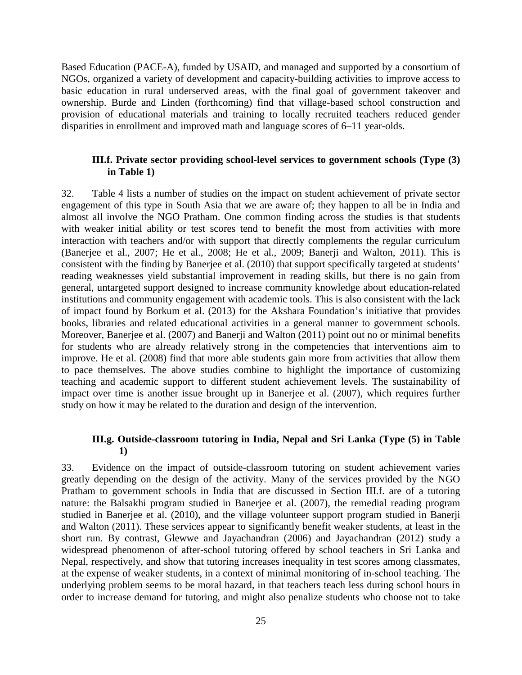Based Education (PACE-A), funded by USAID, and managed and supported by a consortium of NGOs, organized a variety of development and capacity-building activities to improve access to basic education in rural underserved areas, with the final goal of government takeover and ownership. Burde and Linden (forthcoming) find that village-based school construction and provision of educational materials and training to locally recruited teachers reduced gender disparities in enrollment and improved math and language scores of 6–11 year-olds.

## **III.f. Private sector providing school-level services to government schools (Type (3) in Table 1)**

32. Table 4 lists a number of studies on the impact on student achievement of private sector engagement of this type in South Asia that we are aware of; they happen to all be in India and almost all involve the NGO Pratham. One common finding across the studies is that students with weaker initial ability or test scores tend to benefit the most from activities with more interaction with teachers and/or with support that directly complements the regular curriculum (Banerjee et al., 2007; He et al., 2008; He et al., 2009; Banerji and Walton, 2011). This is consistent with the finding by Banerjee et al. (2010) that support specifically targeted at students' reading weaknesses yield substantial improvement in reading skills, but there is no gain from general, untargeted support designed to increase community knowledge about education-related institutions and community engagement with academic tools. This is also consistent with the lack of impact found by Borkum et al. (2013) for the Akshara Foundation's initiative that provides books, libraries and related educational activities in a general manner to government schools. Moreover, Banerjee et al. (2007) and Banerji and Walton (2011) point out no or minimal benefits for students who are already relatively strong in the competencies that interventions aim to improve. He et al. (2008) find that more able students gain more from activities that allow them to pace themselves. The above studies combine to highlight the importance of customizing teaching and academic support to different student achievement levels. The sustainability of impact over time is another issue brought up in Banerjee et al. (2007), which requires further study on how it may be related to the duration and design of the intervention.

# **III.g. Outside-classroom tutoring in India, Nepal and Sri Lanka (Type (5) in Table 1)**

<span id="page-26-0"></span>33. Evidence on the impact of outside-classroom tutoring on student achievement varies greatly depending on the design of the activity. Many of the services provided by the NGO Pratham to government schools in India that are discussed in Section III.f. are of a tutoring nature: the Balsakhi program studied in Banerjee et al. (2007), the remedial reading program studied in Banerjee et al. (2010), and the village volunteer support program studied in Banerji and Walton (2011). These services appear to significantly benefit weaker students, at least in the short run. By contrast, Glewwe and Jayachandran (2006) and Jayachandran (2012) study a widespread phenomenon of after-school tutoring offered by school teachers in Sri Lanka and Nepal, respectively, and show that tutoring increases inequality in test scores among classmates, at the expense of weaker students, in a context of minimal monitoring of in-school teaching. The underlying problem seems to be moral hazard, in that teachers teach less during school hours in order to increase demand for tutoring, and might also penalize students who choose not to take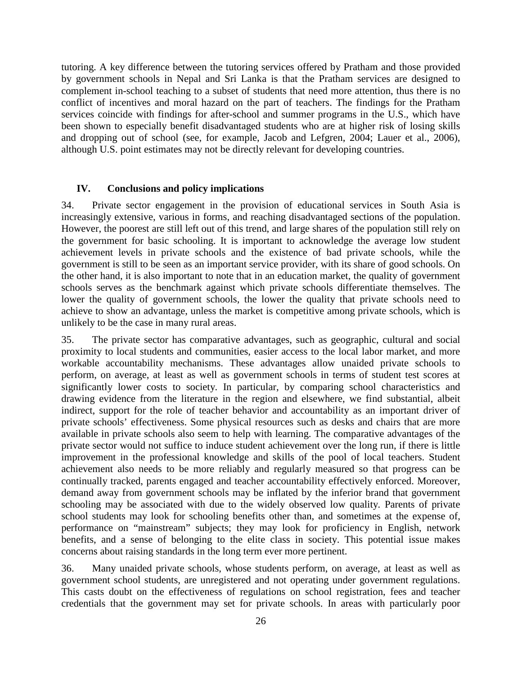tutoring. A key difference between the tutoring services offered by Pratham and those provided by government schools in Nepal and Sri Lanka is that the Pratham services are designed to complement in-school teaching to a subset of students that need more attention, thus there is no conflict of incentives and moral hazard on the part of teachers. The findings for the Pratham services coincide with findings for after-school and summer programs in the U.S., which have been shown to especially benefit disadvantaged students who are at higher risk of losing skills and dropping out of school (see, for example, Jacob and Lefgren, 2004; Lauer et al., 2006), although U.S. point estimates may not be directly relevant for developing countries.

## **IV. Conclusions and policy implications**

34. Private sector engagement in the provision of educational services in South Asia is increasingly extensive, various in forms, and reaching disadvantaged sections of the population. However, the poorest are still left out of this trend, and large shares of the population still rely on the government for basic schooling. It is important to acknowledge the average low student achievement levels in private schools and the existence of bad private schools, while the government is still to be seen as an important service provider, with its share of good schools. On the other hand, it is also important to note that in an education market, the quality of government schools serves as the benchmark against which private schools differentiate themselves. The lower the quality of government schools, the lower the quality that private schools need to achieve to show an advantage, unless the market is competitive among private schools, which is unlikely to be the case in many rural areas.

35. The private sector has comparative advantages, such as geographic, cultural and social proximity to local students and communities, easier access to the local labor market, and more workable accountability mechanisms. These advantages allow unaided private schools to perform, on average, at least as well as government schools in terms of student test scores at significantly lower costs to society. In particular, by comparing school characteristics and drawing evidence from the literature in the region and elsewhere, we find substantial, albeit indirect, support for the role of teacher behavior and accountability as an important driver of private schools' effectiveness. Some physical resources such as desks and chairs that are more available in private schools also seem to help with learning. The comparative advantages of the private sector would not suffice to induce student achievement over the long run, if there is little improvement in the professional knowledge and skills of the pool of local teachers. Student achievement also needs to be more reliably and regularly measured so that progress can be continually tracked, parents engaged and teacher accountability effectively enforced. Moreover, demand away from government schools may be inflated by the inferior brand that government schooling may be associated with due to the widely observed low quality*.* Parents of private school students may look for schooling benefits other than, and sometimes at the expense of, performance on "mainstream" subjects; they may look for proficiency in English, network benefits, and a sense of belonging to the elite class in society. This potential issue makes concerns about raising standards in the long term ever more pertinent.

36. Many unaided private schools, whose students perform, on average, at least as well as government school students, are unregistered and not operating under government regulations. This casts doubt on the effectiveness of regulations on school registration, fees and teacher credentials that the government may set for private schools. In areas with particularly poor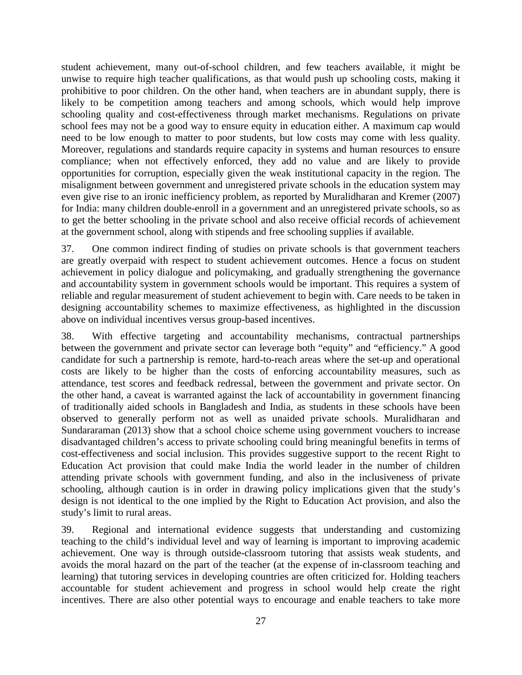student achievement, many out-of-school children, and few teachers available, it might be unwise to require high teacher qualifications, as that would push up schooling costs, making it prohibitive to poor children. On the other hand, when teachers are in abundant supply, there is likely to be competition among teachers and among schools, which would help improve schooling quality and cost-effectiveness through market mechanisms. Regulations on private school fees may not be a good way to ensure equity in education either. A maximum cap would need to be low enough to matter to poor students, but low costs may come with less quality. Moreover, regulations and standards require capacity in systems and human resources to ensure compliance; when not effectively enforced, they add no value and are likely to provide opportunities for corruption, especially given the weak institutional capacity in the region. The misalignment between government and unregistered private schools in the education system may even give rise to an ironic inefficiency problem, as reported by Muralidharan and Kremer (2007) for India: many children double-enroll in a government and an unregistered private schools, so as to get the better schooling in the private school and also receive official records of achievement at the government school, along with stipends and free schooling supplies if available.

37. One common indirect finding of studies on private schools is that government teachers are greatly overpaid with respect to student achievement outcomes. Hence a focus on student achievement in policy dialogue and policymaking, and gradually strengthening the governance and accountability system in government schools would be important. This requires a system of reliable and regular measurement of student achievement to begin with. Care needs to be taken in designing accountability schemes to maximize effectiveness, as highlighted in the discussion above on individual incentives versus group-based incentives.

38. With effective targeting and accountability mechanisms, contractual partnerships between the government and private sector can leverage both "equity" and "efficiency." A good candidate for such a partnership is remote, hard-to-reach areas where the set-up and operational costs are likely to be higher than the costs of enforcing accountability measures, such as attendance, test scores and feedback redressal, between the government and private sector. On the other hand, a caveat is warranted against the lack of accountability in government financing of traditionally aided schools in Bangladesh and India, as students in these schools have been observed to generally perform not as well as unaided private schools. Muralidharan and Sundararaman (2013) show that a school choice scheme using government vouchers to increase disadvantaged children's access to private schooling could bring meaningful benefits in terms of cost-effectiveness and social inclusion. This provides suggestive support to the recent Right to Education Act provision that could make India the world leader in the number of children attending private schools with government funding, and also in the inclusiveness of private schooling, although caution is in order in drawing policy implications given that the study's design is not identical to the one implied by the Right to Education Act provision, and also the study's limit to rural areas.

39. Regional and international evidence suggests that understanding and customizing teaching to the child's individual level and way of learning is important to improving academic achievement. One way is through outside-classroom tutoring that assists weak students, and avoids the moral hazard on the part of the teacher (at the expense of in-classroom teaching and learning) that tutoring services in developing countries are often criticized for. Holding teachers accountable for student achievement and progress in school would help create the right incentives. There are also other potential ways to encourage and enable teachers to take more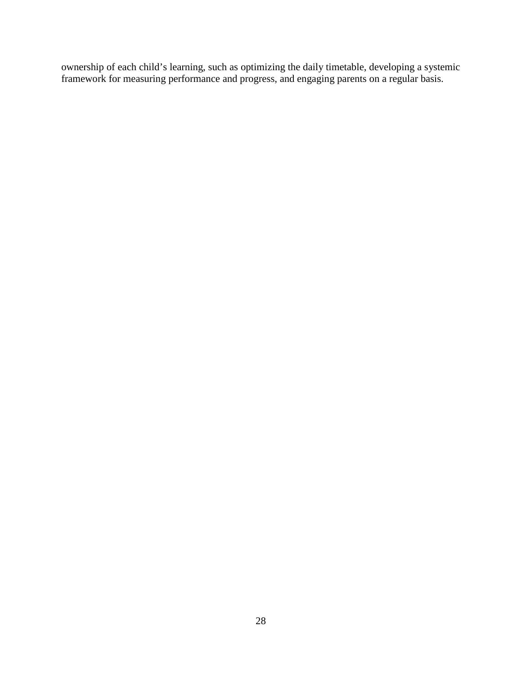ownership of each child's learning, such as optimizing the daily timetable, developing a systemic framework for measuring performance and progress, and engaging parents on a regular basis.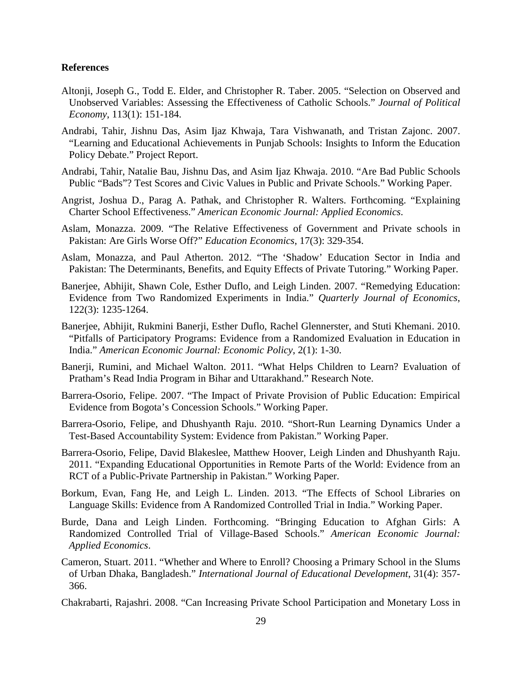#### **References**

- Altonji, Joseph G., Todd E. Elder, and Christopher R. Taber. 2005. "Selection on Observed and Unobserved Variables: Assessing the Effectiveness of Catholic Schools." *Journal of Political Economy*, 113(1): 151-184.
- Andrabi, Tahir, Jishnu Das, Asim Ijaz Khwaja, Tara Vishwanath, and Tristan Zajonc. 2007. "Learning and Educational Achievements in Punjab Schools: Insights to Inform the Education Policy Debate." Project Report.
- Andrabi, Tahir, Natalie Bau, Jishnu Das, and Asim Ijaz Khwaja. 2010. "Are Bad Public Schools Public "Bads"? Test Scores and Civic Values in Public and Private Schools." Working Paper.
- Angrist, Joshua D., Parag A. Pathak, and Christopher R. Walters. Forthcoming. "Explaining Charter School Effectiveness." *American Economic Journal: Applied Economics*.
- Aslam, Monazza. 2009. "The Relative Effectiveness of Government and Private schools in Pakistan: Are Girls Worse Off?" *Education Economics*, 17(3): 329-354.
- Aslam, Monazza, and Paul Atherton. 2012. "The 'Shadow' Education Sector in India and Pakistan: The Determinants, Benefits, and Equity Effects of Private Tutoring." Working Paper.
- Banerjee, Abhijit, Shawn Cole, Esther Duflo, and Leigh Linden. 2007. "Remedying Education: Evidence from Two Randomized Experiments in India." *Quarterly Journal of Economics*, 122(3): 1235-1264.
- Banerjee, Abhijit, Rukmini Banerji, Esther Duflo, Rachel Glennerster, and Stuti Khemani. 2010. "Pitfalls of Participatory Programs: Evidence from a Randomized Evaluation in Education in India." *American Economic Journal: Economic Policy*, 2(1): 1-30.
- Banerji, Rumini, and Michael Walton. 2011. "What Helps Children to Learn? Evaluation of Pratham's Read India Program in Bihar and Uttarakhand." Research Note.
- Barrera-Osorio, Felipe. 2007. "The Impact of Private Provision of Public Education: Empirical Evidence from Bogota's Concession Schools." Working Paper.
- Barrera-Osorio, Felipe, and Dhushyanth Raju. 2010. "Short-Run Learning Dynamics Under a Test-Based Accountability System: Evidence from Pakistan." Working Paper.
- Barrera-Osorio, Felipe, David Blakeslee, Matthew Hoover, Leigh Linden and Dhushyanth Raju. 2011. "Expanding Educational Opportunities in Remote Parts of the World: Evidence from an RCT of a Public-Private Partnership in Pakistan." Working Paper.
- Borkum, Evan, Fang He, and Leigh L. Linden. 2013. "The Effects of School Libraries on Language Skills: Evidence from A Randomized Controlled Trial in India." Working Paper.
- Burde, Dana and Leigh Linden. Forthcoming. "Bringing Education to Afghan Girls: A Randomized Controlled Trial of Village-Based Schools." *American Economic Journal: Applied Economics*.
- Cameron, Stuart. 2011. "Whether and Where to Enroll? Choosing a Primary School in the Slums of Urban Dhaka, Bangladesh." *International Journal of Educational Development*, 31(4): 357- 366.
- Chakrabarti, Rajashri. 2008. "Can Increasing Private School Participation and Monetary Loss in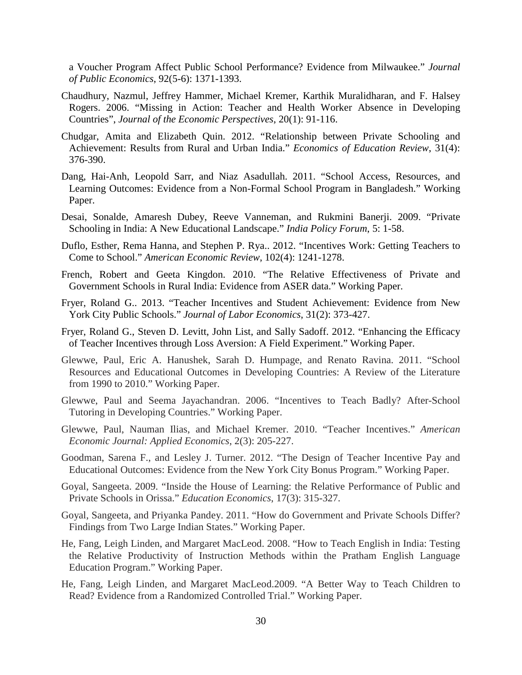a Voucher Program Affect Public School Performance? Evidence from Milwaukee." *Journal of Public Economics*, 92(5-6): 1371-1393.

- Chaudhury, Nazmul, Jeffrey Hammer, Michael Kremer, Karthik Muralidharan, and F. Halsey Rogers. 2006. "Missing in Action: Teacher and Health Worker Absence in Developing Countries", *Journal of the Economic Perspectives*, 20(1): 91-116.
- Chudgar, Amita and Elizabeth Quin. 2012. "Relationship between Private Schooling and Achievement: Results from Rural and Urban India." *Economics of Education Review*, 31(4): 376-390.
- Dang, Hai-Anh, Leopold Sarr, and Niaz Asadullah. 2011. "School Access, Resources, and Learning Outcomes: Evidence from a Non-Formal School Program in Bangladesh." Working Paper.
- Desai, Sonalde, Amaresh Dubey, Reeve Vanneman, and Rukmini Banerji. 2009. "Private Schooling in India: A New Educational Landscape." *India Policy Forum*, 5: 1-58.
- Duflo, Esther, Rema Hanna, and Stephen P. Rya.. 2012. "Incentives Work: Getting Teachers to Come to School." *American Economic Review*, 102(4): 1241-1278.
- French, Robert and Geeta Kingdon. 2010. "The Relative Effectiveness of Private and Government Schools in Rural India: Evidence from ASER data." Working Paper.
- Fryer, Roland G.. 2013. "Teacher Incentives and Student Achievement: Evidence from New York City Public Schools." *Journal of Labor Economics*, 31(2): 373-427.
- Fryer, Roland G., Steven D. Levitt, John List, and Sally Sadoff. 2012. "Enhancing the Efficacy of Teacher Incentives through Loss Aversion: A Field Experiment." Working Paper.
- Glewwe, Paul, Eric A. Hanushek, Sarah D. Humpage, and Renato Ravina. 2011. "School Resources and Educational Outcomes in Developing Countries: A Review of the Literature from 1990 to 2010." Working Paper.
- Glewwe, Paul and Seema Jayachandran. 2006. "Incentives to Teach Badly? After-School Tutoring in Developing Countries." Working Paper.
- Glewwe, Paul, Nauman Ilias, and Michael Kremer. 2010. "Teacher Incentives." *American Economic Journal: Applied Economics*, 2(3): 205-227.
- Goodman, Sarena F., and Lesley J. Turner. 2012. "The Design of Teacher Incentive Pay and Educational Outcomes: Evidence from the New York City Bonus Program." Working Paper.
- Goyal, Sangeeta. 2009. "Inside the House of Learning: the Relative Performance of Public and Private Schools in Orissa." *Education Economics*, 17(3): 315-327.
- Goyal, Sangeeta, and Priyanka Pandey. 2011. "How do Government and Private Schools Differ? Findings from Two Large Indian States." Working Paper.
- He, Fang, Leigh Linden, and Margaret MacLeod. 2008. "How to Teach English in India: Testing the Relative Productivity of Instruction Methods within the Pratham English Language Education Program." Working Paper.
- He, Fang, Leigh Linden, and Margaret MacLeod.2009. "A Better Way to Teach Children to Read? Evidence from a Randomized Controlled Trial." Working Paper.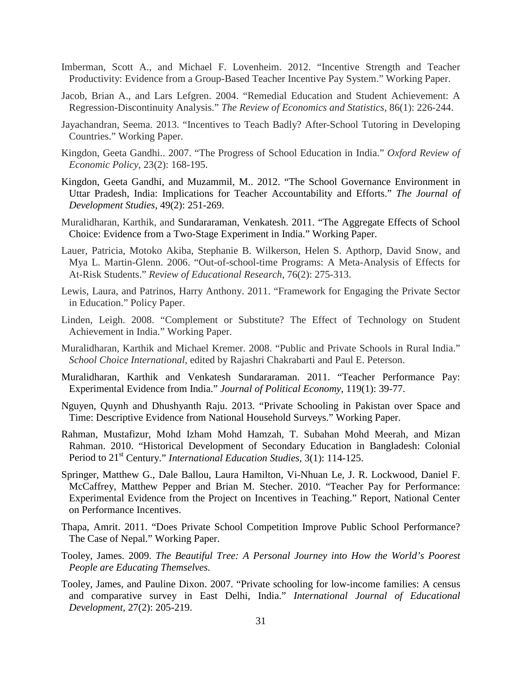- Imberman, Scott A., and Michael F. Lovenheim. 2012. "Incentive Strength and Teacher Productivity: Evidence from a Group-Based Teacher Incentive Pay System." Working Paper.
- Jacob, Brian A., and Lars Lefgren. 2004. "Remedial Education and Student Achievement: A Regression-Discontinuity Analysis." *The Review of Economics and Statistics*, 86(1): 226-244.
- Jayachandran, Seema. 2013. "Incentives to Teach Badly? After-School Tutoring in Developing Countries." Working Paper.
- Kingdon, Geeta Gandhi.. 2007. "The Progress of School Education in India." *Oxford Review of Economic Policy*, 23(2): 168-195.
- Kingdon, Geeta Gandhi, and Muzammil, M.. 2012. "The School Governance Environment in Uttar Pradesh, India: Implications for Teacher Accountability and Efforts." *The Journal of Development Studies*, 49(2): 251-269.
- Muralidharan, Karthik, and Sundararaman, Venkatesh. 2011. "The Aggregate Effects of School Choice: Evidence from a Two-Stage Experiment in India." Working Paper.
- Lauer, Patricia, Motoko Akiba, Stephanie B. Wilkerson, Helen S. Apthorp, David Snow, and Mya L. Martin-Glenn. 2006. "Out-of-school-time Programs: A Meta-Analysis of Effects for At-Risk Students." *Review of Educational Research*, 76(2): 275-313.
- Lewis, Laura, and Patrinos, Harry Anthony. 2011. "Framework for Engaging the Private Sector in Education." Policy Paper.
- Linden, Leigh. 2008. "Complement or Substitute? The Effect of Technology on Student Achievement in India." Working Paper.
- Muralidharan, Karthik and Michael Kremer. 2008. "Public and Private Schools in Rural India." *School Choice International*, edited by Rajashri Chakrabarti and Paul E. Peterson.
- Muralidharan, Karthik and Venkatesh Sundararaman. 2011. "Teacher Performance Pay: Experimental Evidence from India." *Journal of Political Economy*, 119(1): 39-77.
- Nguyen, Quynh and Dhushyanth Raju. 2013. "Private Schooling in Pakistan over Space and Time: Descriptive Evidence from National Household Surveys." Working Paper.
- Rahman, Mustafizur, Mohd Izham Mohd Hamzah, T. Subahan Mohd Meerah, and Mizan Rahman. 2010. "Historical Development of Secondary Education in Bangladesh: Colonial Period to 21st Century." *International Education Studies*, 3(1): 114-125.
- Springer, Matthew G., Dale Ballou, Laura Hamilton, Vi-Nhuan Le, J. R. Lockwood, Daniel F. McCaffrey, Matthew Pepper and Brian M. Stecher. 2010. "Teacher Pay for Performance: Experimental Evidence from the Project on Incentives in Teaching." Report, National Center on Performance Incentives.
- Thapa, Amrit. 2011. "Does Private School Competition Improve Public School Performance? The Case of Nepal." Working Paper.
- Tooley, James. 2009. *The Beautiful Tree: A Personal Journey into How the World's Poorest People are Educating Themselves.*
- Tooley, James, and Pauline Dixon. 2007. "Private schooling for low-income families: A census and comparative survey in East Delhi, India." *International Journal of Educational Development*, 27(2): 205-219.